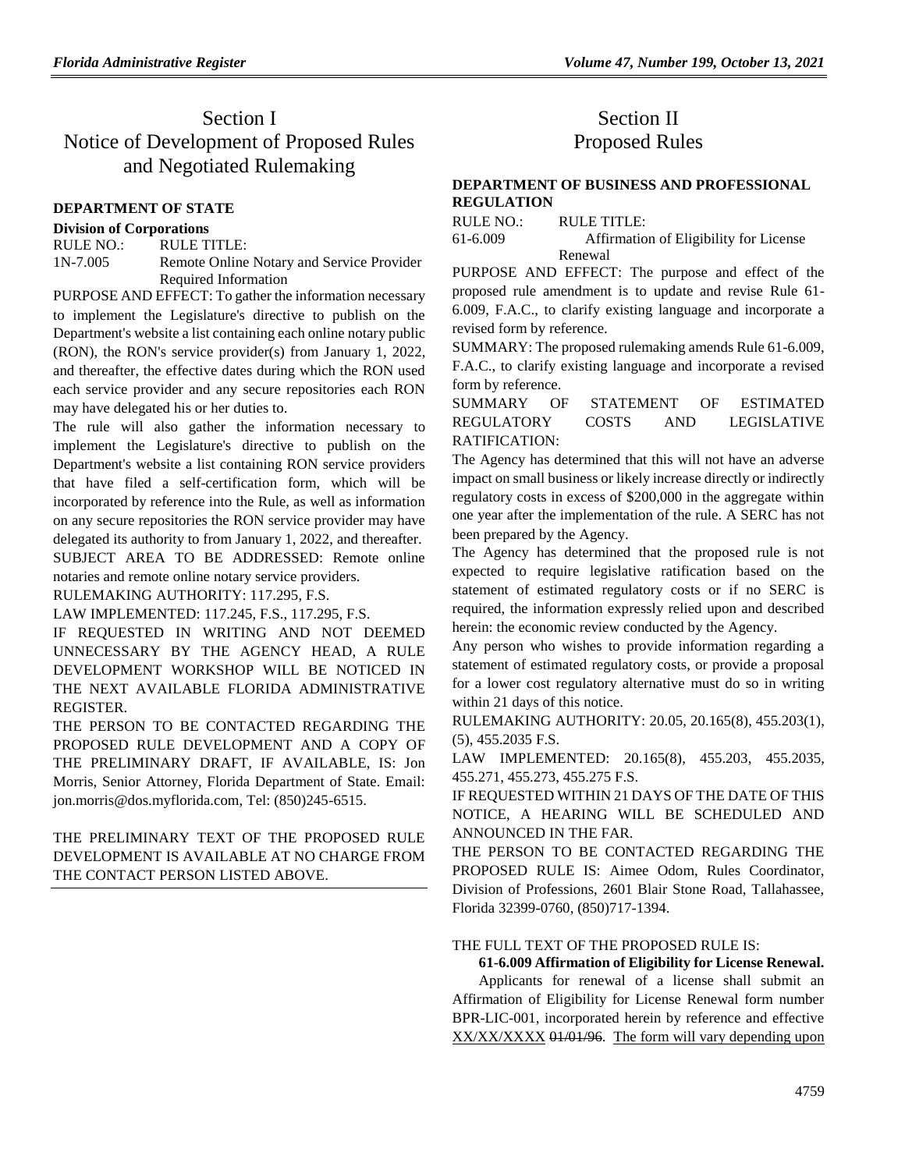# Section I Notice of Development of Proposed Rules and Negotiated Rulemaking

#### **[DEPARTMENT OF STATE](https://www.flrules.org/gateway/department.asp?id=1)**

#### **[Division of Corporations](https://www.flrules.org/gateway/organization.asp?id=13)**

RULE NO.: RULE TITLE:

[1N-7.005](https://www.flrules.org/gateway/ruleNo.asp?id=1N-7.005) Remote Online Notary and Service Provider Required Information

PURPOSE AND EFFECT: To gather the information necessary to implement the Legislature's directive to publish on the Department's website a list containing each online notary public (RON), the RON's service provider(s) from January 1, 2022, and thereafter, the effective dates during which the RON used each service provider and any secure repositories each RON may have delegated his or her duties to.

The rule will also gather the information necessary to implement the Legislature's directive to publish on the Department's website a list containing RON service providers that have filed a self-certification form, which will be incorporated by reference into the Rule, as well as information on any secure repositories the RON service provider may have delegated its authority to from January 1, 2022, and thereafter.

SUBJECT AREA TO BE ADDRESSED: Remote online notaries and remote online notary service providers.

RULEMAKING AUTHORITY: [117.295,](https://www.flrules.org/gateway/statute.asp?id=117.295) F.S.

LAW IMPLEMENTED: [117.245,](https://www.flrules.org/gateway/statute.asp?id=117.245) F.S., [117.295,](https://www.flrules.org/gateway/statute.asp?id=%20117.295) F.S.

IF REQUESTED IN WRITING AND NOT DEEMED UNNECESSARY BY THE AGENCY HEAD, A RULE DEVELOPMENT WORKSHOP WILL BE NOTICED IN THE NEXT AVAILABLE FLORIDA ADMINISTRATIVE REGISTER.

THE PERSON TO BE CONTACTED REGARDING THE PROPOSED RULE DEVELOPMENT AND A COPY OF THE PRELIMINARY DRAFT, IF AVAILABLE, IS: Jon Morris, Senior Attorney, Florida Department of State. Email: jon.morris@dos.myflorida.com, Tel: (850)245-6515.

THE PRELIMINARY TEXT OF THE PROPOSED RULE DEVELOPMENT IS AVAILABLE AT NO CHARGE FROM THE CONTACT PERSON LISTED ABOVE.

## Section II Proposed Rules

#### **[DEPARTMENT OF BUSINESS AND PROFESSIONAL](https://www.flrules.org/gateway/department.asp?id=61)  [REGULATION](https://www.flrules.org/gateway/department.asp?id=61)**

RULE NO.: RULE TITLE: [61-6.009](https://www.flrules.org/gateway/ruleNo.asp?id=61-6.009) Affirmation of Eligibility for License Renewal

PURPOSE AND EFFECT: The purpose and effect of the proposed rule amendment is to update and revise Rule 61- 6.009, F.A.C., to clarify existing language and incorporate a revised form by reference.

SUMMARY: The proposed rulemaking amends Rule 61-6.009, F.A.C., to clarify existing language and incorporate a revised form by reference.

SUMMARY OF STATEMENT OF ESTIMATED REGULATORY COSTS AND LEGISLATIVE RATIFICATION:

The Agency has determined that this will not have an adverse impact on small business or likely increase directly or indirectly regulatory costs in excess of \$200,000 in the aggregate within one year after the implementation of the rule. A SERC has not been prepared by the Agency.

The Agency has determined that the proposed rule is not expected to require legislative ratification based on the statement of estimated regulatory costs or if no SERC is required, the information expressly relied upon and described herein: the economic review conducted by the Agency.

Any person who wishes to provide information regarding a statement of estimated regulatory costs, or provide a proposal for a lower cost regulatory alternative must do so in writing within 21 days of this notice.

RULEMAKING AUTHORITY: [20.05,](https://www.flrules.org/gateway/statute.asp?id=20.05) [20.165\(8\),](https://www.flrules.org/gateway/statute.asp?id=%2020.165(8)) [455.203\(1\),](https://www.flrules.org/gateway/statute.asp?id=%20455.203(1)) (5)[, 455.2035 F.S.](https://www.flrules.org/gateway/statute.asp?id=%20455.2035%20F.S.)

LAW IMPLEMENTED: [20.165\(8\),](https://www.flrules.org/gateway/statute.asp?id=20.165(8)) [455.203,](https://www.flrules.org/gateway/statute.asp?id=%20455.203) [455.2035,](https://www.flrules.org/gateway/statute.asp?id=%20455.2035) [455.271,](https://www.flrules.org/gateway/statute.asp?id=%20455.271) [455.273,](https://www.flrules.org/gateway/statute.asp?id=%20455.273) [455.275 F.S.](https://www.flrules.org/gateway/statute.asp?id=%20455.275%20F.S.)

IF REQUESTED WITHIN 21 DAYS OF THE DATE OF THIS NOTICE, A HEARING WILL BE SCHEDULED AND ANNOUNCED IN THE FAR.

THE PERSON TO BE CONTACTED REGARDING THE PROPOSED RULE IS: Aimee Odom, Rules Coordinator, Division of Professions, 2601 Blair Stone Road, Tallahassee, Florida 32399-0760, (850)717-1394.

#### THE FULL TEXT OF THE PROPOSED RULE IS:

**61-6.009 Affirmation of Eligibility for License Renewal.**

Applicants for renewal of a license shall submit an Affirmation of Eligibility for License Renewal form number BPR-LIC-001, incorporated herein by reference and effective XX/XX/XXXX 01/01/96. The form will vary depending upon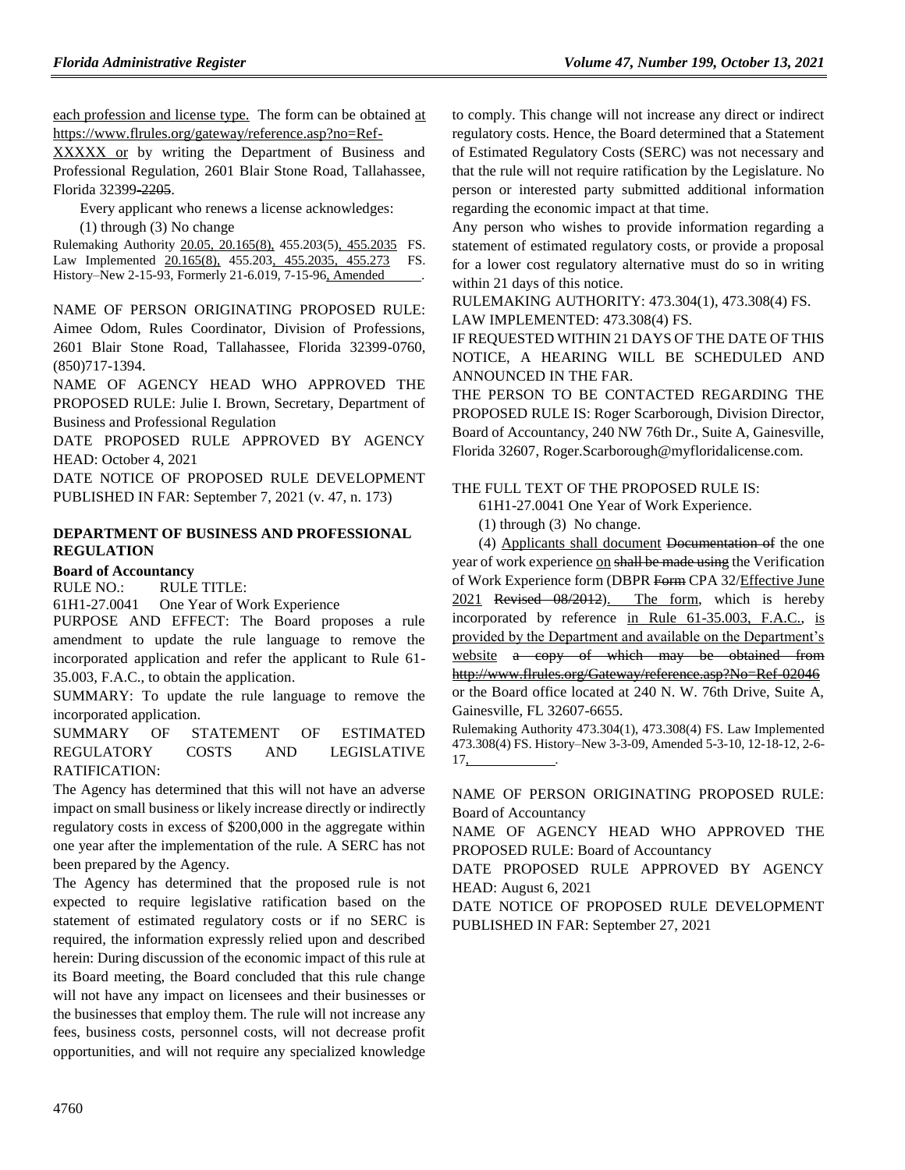each profession and license type. The form can be obtained at https://www.flrules.org/gateway/reference.asp?no=Ref-

XXXXX or by writing the Department of Business and Professional Regulation, 2601 Blair Stone Road, Tallahassee, Florida 32399-2205.

Every applicant who renews a license acknowledges:

(1) through (3) No change

Rulemaking Authority 20.05, 20.165(8), 455.203(5), 455.2035 FS. Law Implemented 20.165(8), 455.203, 455.2035, 455.273 FS. History–New 2-15-93, Formerly 21-6.019, 7-15-96, Amended .

NAME OF PERSON ORIGINATING PROPOSED RULE: Aimee Odom, Rules Coordinator, Division of Professions, 2601 Blair Stone Road, Tallahassee, Florida 32399-0760, (850)717-1394.

NAME OF AGENCY HEAD WHO APPROVED THE PROPOSED RULE: Julie I. Brown, Secretary, Department of Business and Professional Regulation

DATE PROPOSED RULE APPROVED BY AGENCY HEAD: October 4, 2021

DATE NOTICE OF PROPOSED RULE DEVELOPMENT PUBLISHED IN FAR: September 7, 2021 (v. 47, n. 173)

### **[DEPARTMENT OF BUSINESS AND PROFESSIONAL](https://www.flrules.org/gateway/department.asp?id=61)  [REGULATION](https://www.flrules.org/gateway/department.asp?id=61)**

#### **[Board of Accountancy](https://www.flrules.org/gateway/organization.asp?id=280)**

RULE NO.: RULE TITLE:

[61H1-27.0041](https://www.flrules.org/gateway/ruleNo.asp?id=61H1-27.0041) One Year of Work Experience

PURPOSE AND EFFECT: The Board proposes a rule amendment to update the rule language to remove the incorporated application and refer the applicant to Rule 61- 35.003, F.A.C., to obtain the application.

SUMMARY: To update the rule language to remove the incorporated application.

SUMMARY OF STATEMENT OF ESTIMATED REGULATORY COSTS AND LEGISLATIVE RATIFICATION:

The Agency has determined that this will not have an adverse impact on small business or likely increase directly or indirectly regulatory costs in excess of \$200,000 in the aggregate within one year after the implementation of the rule. A SERC has not been prepared by the Agency.

The Agency has determined that the proposed rule is not expected to require legislative ratification based on the statement of estimated regulatory costs or if no SERC is required, the information expressly relied upon and described herein: During discussion of the economic impact of this rule at its Board meeting, the Board concluded that this rule change will not have any impact on licensees and their businesses or the businesses that employ them. The rule will not increase any fees, business costs, personnel costs, will not decrease profit opportunities, and will not require any specialized knowledge

to comply. This change will not increase any direct or indirect regulatory costs. Hence, the Board determined that a Statement of Estimated Regulatory Costs (SERC) was not necessary and that the rule will not require ratification by the Legislature. No person or interested party submitted additional information regarding the economic impact at that time.

Any person who wishes to provide information regarding a statement of estimated regulatory costs, or provide a proposal for a lower cost regulatory alternative must do so in writing within 21 days of this notice.

RULEMAKING AUTHORITY: [473.304\(1\),](https://www.flrules.org/gateway/statute.asp?id=473.304(1)) [473.308\(4\) FS.](https://www.flrules.org/gateway/statute.asp?id=%20473.308(4)%20FS.) LAW IMPLEMENTED: [473.308\(4\) FS.](https://www.flrules.org/gateway/statute.asp?id=473.308(4)%20FS.)

IF REQUESTED WITHIN 21 DAYS OF THE DATE OF THIS NOTICE, A HEARING WILL BE SCHEDULED AND ANNOUNCED IN THE FAR.

THE PERSON TO BE CONTACTED REGARDING THE PROPOSED RULE IS: Roger Scarborough, Division Director, Board of Accountancy, 240 NW 76th Dr., Suite A, Gainesville, Florida 32607, Roger.Scarborough@myfloridalicense.com.

THE FULL TEXT OF THE PROPOSED RULE IS:

61H1-27.0041 One Year of Work Experience.

(1) through (3) No change.

(4) Applicants shall document Documentation of the one year of work experience on shall be made using the Verification of Work Experience form (DBPR Form CPA 32/Effective June 2021 Revised 08/2012). The form, which is hereby incorporated by reference in Rule 61-35.003, F.A.C., is provided by the Department and available on the Department's website a copy of which may be obtained from <http://www.flrules.org/Gateway/reference.asp?No=Ref-02046> or the Board office located at 240 N. W. 76th Drive, Suite A, Gainesville, FL 32607-6655.

Rulemaking Authority 473.304(1), 473.308(4) FS. Law Implemented 473.308(4) FS. History–New 3-3-09, Amended 5-3-10, 12-18-12, 2-6- 17, *.*

NAME OF PERSON ORIGINATING PROPOSED RULE: Board of Accountancy

NAME OF AGENCY HEAD WHO APPROVED THE PROPOSED RULE: Board of Accountancy

DATE PROPOSED RULE APPROVED BY AGENCY HEAD: August 6, 2021

DATE NOTICE OF PROPOSED RULE DEVELOPMENT PUBLISHED IN FAR: September 27, 2021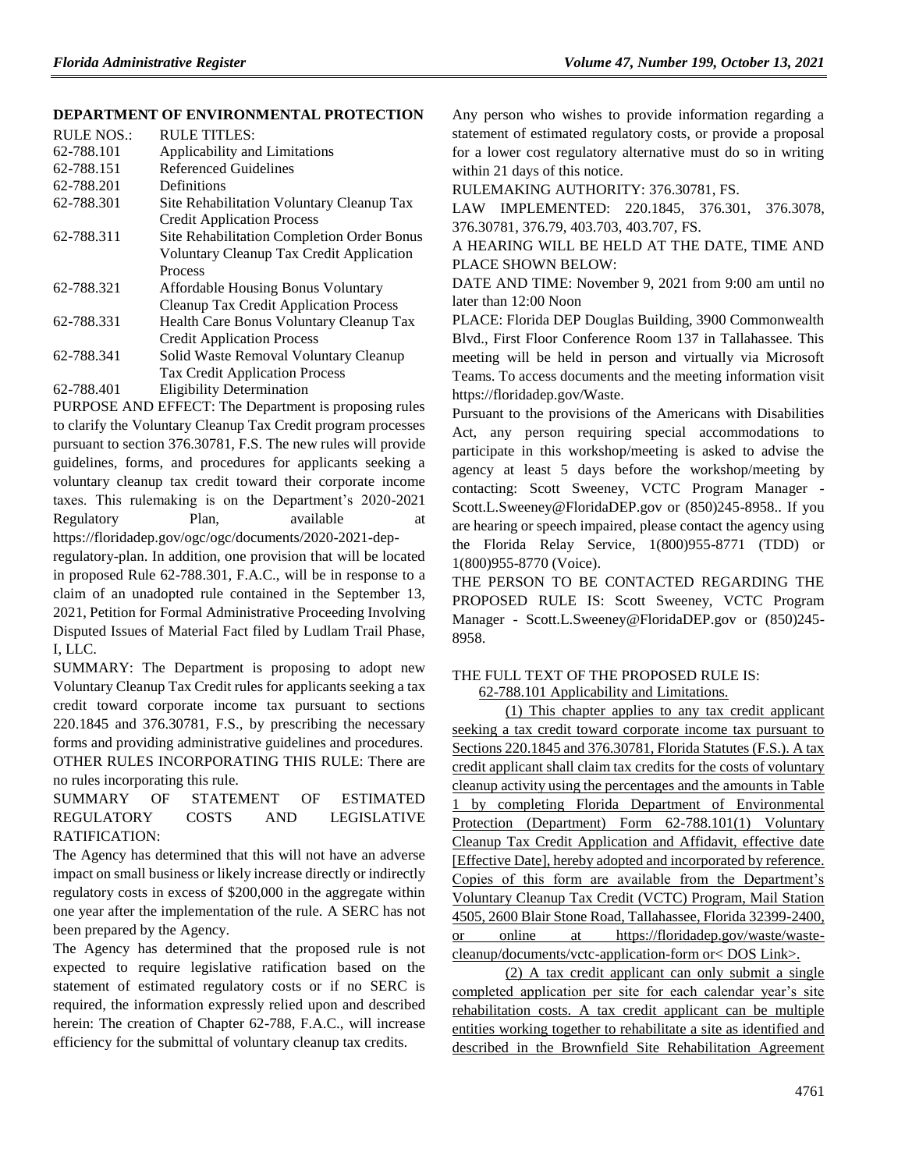#### **[DEPARTMENT OF ENVIRONMENTAL PROTECTION](https://www.flrules.org/gateway/department.asp?id=62)**

| <b>RULE NOS.:</b> | <b>RULE TITLES:</b>                               |
|-------------------|---------------------------------------------------|
| 62-788.101        | Applicability and Limitations                     |
| 62-788.151        | Referenced Guidelines                             |
| 62-788.201        | Definitions                                       |
| 62-788.301        | Site Rehabilitation Voluntary Cleanup Tax         |
|                   | <b>Credit Application Process</b>                 |
| 62-788.311        | <b>Site Rehabilitation Completion Order Bonus</b> |
|                   | Voluntary Cleanup Tax Credit Application          |
|                   | Process                                           |
| 62-788.321        | <b>Affordable Housing Bonus Voluntary</b>         |
|                   | <b>Cleanup Tax Credit Application Process</b>     |
| 62-788.331        | Health Care Bonus Voluntary Cleanup Tax           |
|                   | <b>Credit Application Process</b>                 |
| 62-788.341        | Solid Waste Removal Voluntary Cleanup             |
|                   | <b>Tax Credit Application Process</b>             |
| 62-788.401        | <b>Eligibility Determination</b>                  |

PURPOSE AND EFFECT: The Department is proposing rules to clarify the Voluntary Cleanup Tax Credit program processes pursuant to section 376.30781, F.S. The new rules will provide guidelines, forms, and procedures for applicants seeking a voluntary cleanup tax credit toward their corporate income taxes. This rulemaking is on the Department's 2020-2021 Regulatory Plan, available at https://floridadep.gov/ogc/ogc/documents/2020-2021-dep-

regulatory-plan. In addition, one provision that will be located in proposed Rule 62-788.301, F.A.C., will be in response to a claim of an unadopted rule contained in the September 13, 2021, Petition for Formal Administrative Proceeding Involving

Disputed Issues of Material Fact filed by Ludlam Trail Phase, I, LLC.

SUMMARY: The Department is proposing to adopt new Voluntary Cleanup Tax Credit rules for applicants seeking a tax credit toward corporate income tax pursuant to sections 220.1845 and 376.30781, F.S., by prescribing the necessary forms and providing administrative guidelines and procedures. OTHER RULES INCORPORATING THIS RULE: There are no rules incorporating this rule.

### SUMMARY OF STATEMENT OF ESTIMATED REGULATORY COSTS AND LEGISLATIVE RATIFICATION:

The Agency has determined that this will not have an adverse impact on small business or likely increase directly or indirectly regulatory costs in excess of \$200,000 in the aggregate within one year after the implementation of the rule. A SERC has not been prepared by the Agency.

The Agency has determined that the proposed rule is not expected to require legislative ratification based on the statement of estimated regulatory costs or if no SERC is required, the information expressly relied upon and described herein: The creation of Chapter 62-788, F.A.C., will increase efficiency for the submittal of voluntary cleanup tax credits.

Any person who wishes to provide information regarding a statement of estimated regulatory costs, or provide a proposal for a lower cost regulatory alternative must do so in writing within 21 days of this notice.

RULEMAKING AUTHORITY: [376.30781,](https://www.flrules.org/gateway/statute.asp?id=376.30781) FS.

LAW IMPLEMENTED: [220.1845,](https://www.flrules.org/gateway/statute.asp?id=220.1845) [376.301,](https://www.flrules.org/gateway/statute.asp?id=%20376.301) [376.3078,](https://www.flrules.org/gateway/statute.asp?id=%20376.3078) [376.30781,](https://www.flrules.org/gateway/statute.asp?id=%20376.30781) [376.79,](https://www.flrules.org/gateway/statute.asp?id=%20376.79) [403.703,](https://www.flrules.org/gateway/statute.asp?id=%20403.703) [403.707,](https://www.flrules.org/gateway/statute.asp?id=%20403.707) FS.

A HEARING WILL BE HELD AT THE DATE, TIME AND PLACE SHOWN BELOW:

DATE AND TIME: November 9, 2021 from 9:00 am until no later than 12:00 Noon

PLACE: Florida DEP Douglas Building, 3900 Commonwealth Blvd., First Floor Conference Room 137 in Tallahassee. This meeting will be held in person and virtually via Microsoft Teams. To access documents and the meeting information visit https://floridadep.gov/Waste.

Pursuant to the provisions of the Americans with Disabilities Act, any person requiring special accommodations to participate in this workshop/meeting is asked to advise the agency at least 5 days before the workshop/meeting by contacting: Scott Sweeney, VCTC Program Manager - Scott.L.Sweeney@FloridaDEP.gov or (850)245-8958.. If you are hearing or speech impaired, please contact the agency using the Florida Relay Service, 1(800)955-8771 (TDD) or 1(800)955-8770 (Voice).

THE PERSON TO BE CONTACTED REGARDING THE PROPOSED RULE IS: Scott Sweeney, VCTC Program Manager - Scott.L.Sweeney@FloridaDEP.gov or (850)245- 8958.

## THE FULL TEXT OF THE PROPOSED RULE IS:

62-788.101 Applicability and Limitations.

(1) This chapter applies to any tax credit applicant seeking a tax credit toward corporate income tax pursuant to Sections 220.1845 and 376.30781, Florida Statutes (F.S.). A tax credit applicant shall claim tax credits for the costs of voluntary cleanup activity using the percentages and the amounts in Table 1 by completing Florida Department of Environmental Protection (Department) Form 62-788.101(1) Voluntary Cleanup Tax Credit Application and Affidavit, effective date [Effective Date], hereby adopted and incorporated by reference. Copies of this form are available from the Department's Voluntary Cleanup Tax Credit (VCTC) Program, Mail Station 4505, 2600 Blair Stone Road, Tallahassee, Florida 32399-2400, or online at https://floridadep.gov/waste/wastecleanup/documents/vctc-application-form or< DOS Link>.

(2) A tax credit applicant can only submit a single completed application per site for each calendar year's site rehabilitation costs. A tax credit applicant can be multiple entities working together to rehabilitate a site as identified and described in the Brownfield Site Rehabilitation Agreement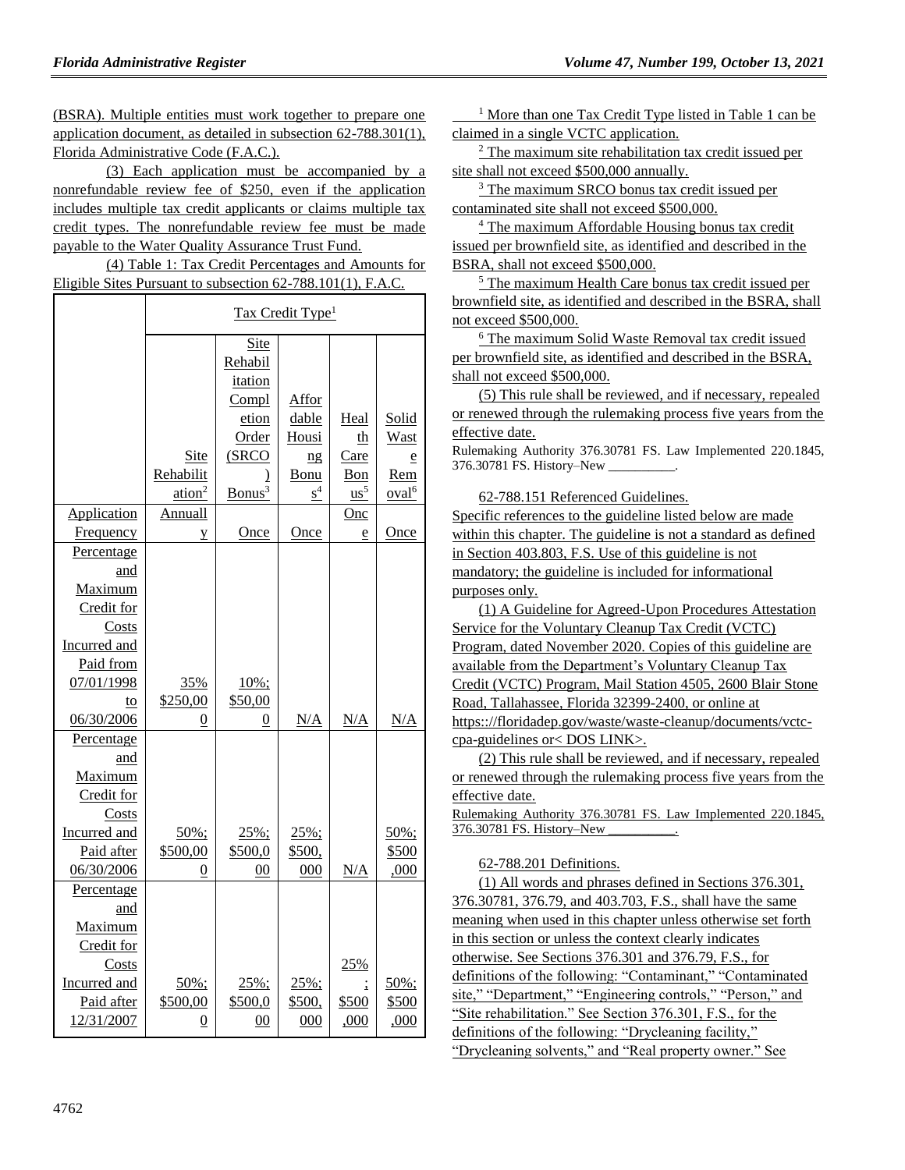(BSRA). Multiple entities must work together to prepare one application document, as detailed in subsection 62-788.301(1), Florida Administrative Code (F.A.C.).

(3) Each application must be accompanied by a nonrefundable review fee of \$250, even if the application includes multiple tax credit applicants or claims multiple tax credit types. The nonrefundable review fee must be made payable to the Water Quality Assurance Trust Fund.

(4) Table 1: Tax Credit Percentages and Amounts for Eligible Sites Pursuant to subsection 62-788.101(1), F.A.C.

|                       | Tax Credit Type <sup>1</sup> |                        |                                       |            |                   |
|-----------------------|------------------------------|------------------------|---------------------------------------|------------|-------------------|
|                       |                              | <b>Site</b><br>Rehabil |                                       |            |                   |
|                       |                              | itation                |                                       |            |                   |
|                       |                              | Compl                  | Affor                                 |            |                   |
|                       |                              | etion<br>Order         | dable<br>Housi                        | Heal<br>th | Solid<br>Wast     |
|                       | <b>Site</b>                  | (SRCO                  |                                       | Care       |                   |
|                       | Rehabilit                    |                        | $\overline{\text{ng}}$<br><b>Bonu</b> | Bon        | e<br>Rem          |
|                       | ation <sup>2</sup>           | Bonus <sup>3</sup>     | $\mbox{s}^4$                          | $us^5$     | oval <sup>6</sup> |
| Application           | Annuall                      |                        |                                       | Qnc        |                   |
| Frequency             | y                            | Once                   | Once                                  | e          | Once              |
| Percentage            |                              |                        |                                       |            |                   |
| and                   |                              |                        |                                       |            |                   |
| Maximum               |                              |                        |                                       |            |                   |
| Credit for            |                              |                        |                                       |            |                   |
| Costs                 |                              |                        |                                       |            |                   |
| Incurred and          |                              |                        |                                       |            |                   |
| Paid from             |                              |                        |                                       |            |                   |
| 07/01/1998            | 35%                          | 10%;                   |                                       |            |                   |
| to                    | \$250,00                     | \$50,00                |                                       |            |                   |
| 06/30/2006            | 0                            | 0                      | N/A                                   | N/A        | N/A               |
| Percentage            |                              |                        |                                       |            |                   |
| and                   |                              |                        |                                       |            |                   |
| Maximum               |                              |                        |                                       |            |                   |
| Credit for            |                              |                        |                                       |            |                   |
| Costs<br>Incurred and | 50%;                         | 25%;                   | 25%;                                  |            | $50\%$ ;          |
| Paid after            | \$500,00                     | \$500,0                | \$500,                                |            | \$500             |
| 06/30/2006            | 0                            | 00                     | 000                                   | N/A        | ,000              |
| Percentage            |                              |                        |                                       |            |                   |
| and                   |                              |                        |                                       |            |                   |
| Maximum               |                              |                        |                                       |            |                   |
| Credit for            |                              |                        |                                       |            |                   |
| Costs                 |                              |                        |                                       | 25%        |                   |
| Incurred and          | 50%;                         | 25%;                   | $25\%$ ;                              |            | $50\%$ ;          |
| Paid after            | \$500,00                     | \$500,0                | \$500,                                | \$500      | \$500             |
| 12/31/2007            | 0                            | 00                     | 000                                   | ,000       | ,000              |

<sup>1</sup> More than one Tax Credit Type listed in Table 1 can be claimed in a single VCTC application.

<sup>2</sup> The maximum site rehabilitation tax credit issued per site shall not exceed \$500,000 annually.

<sup>3</sup> The maximum SRCO bonus tax credit issued per contaminated site shall not exceed \$500,000.

<sup>4</sup> The maximum Affordable Housing bonus tax credit issued per brownfield site, as identified and described in the BSRA, shall not exceed \$500,000.

<sup>5</sup> The maximum Health Care bonus tax credit issued per brownfield site, as identified and described in the BSRA, shall not exceed \$500,000.

<sup>6</sup> The maximum Solid Waste Removal tax credit issued per brownfield site, as identified and described in the BSRA, shall not exceed \$500,000.

(5) This rule shall be reviewed, and if necessary, repealed or renewed through the rulemaking process five years from the effective date.

Rulemaking Authority 376.30781 FS. Law Implemented 220.1845, 376.30781 FS. History–New

62-788.151 Referenced Guidelines.

Specific references to the guideline listed below are made within this chapter. The guideline is not a standard as defined in Section 403.803, F.S. Use of this guideline is not mandatory; the guideline is included for informational purposes only.

(1) A Guideline for Agreed-Upon Procedures Attestation Service for the Voluntary Cleanup Tax Credit (VCTC) Program, dated November 2020. Copies of this guideline are available from the Department's Voluntary Cleanup Tax Credit (VCTC) Program, Mail Station 4505, 2600 Blair Stone Road, Tallahassee, Florida 32399-2400, or online at https:://floridadep.gov/waste/waste-cleanup/documents/vctccpa-guidelines or< DOS LINK>.

(2) This rule shall be reviewed, and if necessary, repealed or renewed through the rulemaking process five years from the effective date.

Rulemaking Authority 376.30781 FS. Law Implemented 220.1845, 376.30781 FS. History–New

#### 62-788.201 Definitions.

(1) All words and phrases defined in Sections 376.301, 376.30781, 376.79, and 403.703, F.S., shall have the same meaning when used in this chapter unless otherwise set forth in this section or unless the context clearly indicates otherwise. See Sections 376.301 and 376.79, F.S., for definitions of the following: "Contaminant," "Contaminated site," "Department," "Engineering controls," "Person," and "Site rehabilitation." See Section 376.301, F.S., for the definitions of the following: "Drycleaning facility," "Drycleaning solvents," and "Real property owner." See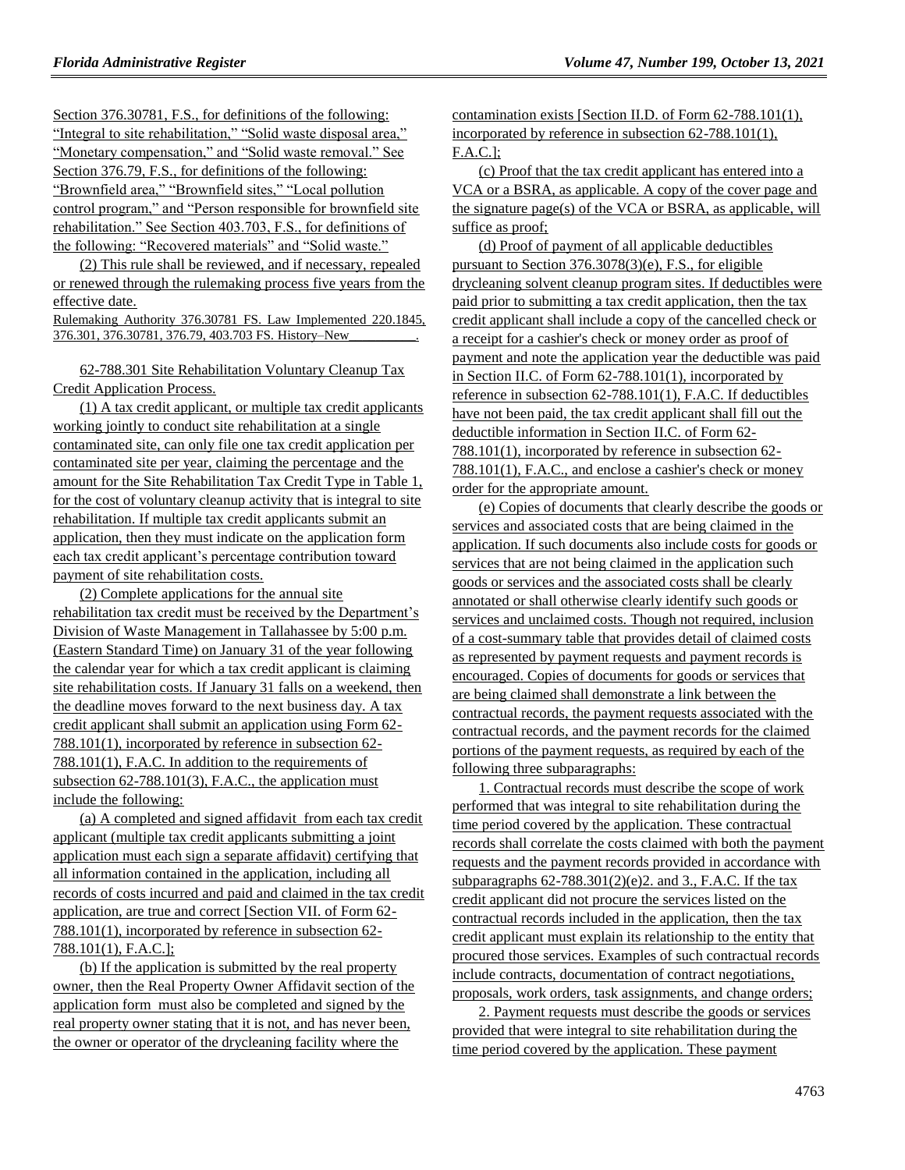Section 376.30781, F.S., for definitions of the following: "Integral to site rehabilitation," "Solid waste disposal area," "Monetary compensation," and "Solid waste removal." See Section 376.79, F.S., for definitions of the following: "Brownfield area," "Brownfield sites," "Local pollution control program," and "Person responsible for brownfield site rehabilitation." See Section 403.703, F.S., for definitions of the following: "Recovered materials" and "Solid waste."

(2) This rule shall be reviewed, and if necessary, repealed or renewed through the rulemaking process five years from the effective date.

Rulemaking Authority 376.30781 FS. Law Implemented 220.1845, 376.301, 376.30781, 376.79, 403.703 FS. History–New

62-788.301 Site Rehabilitation Voluntary Cleanup Tax Credit Application Process.

(1) A tax credit applicant, or multiple tax credit applicants working jointly to conduct site rehabilitation at a single contaminated site, can only file one tax credit application per contaminated site per year, claiming the percentage and the amount for the Site Rehabilitation Tax Credit Type in Table 1, for the cost of voluntary cleanup activity that is integral to site rehabilitation. If multiple tax credit applicants submit an application, then they must indicate on the application form each tax credit applicant's percentage contribution toward payment of site rehabilitation costs.

(2) Complete applications for the annual site rehabilitation tax credit must be received by the Department's Division of Waste Management in Tallahassee by 5:00 p.m. (Eastern Standard Time) on January 31 of the year following the calendar year for which a tax credit applicant is claiming site rehabilitation costs. If January 31 falls on a weekend, then the deadline moves forward to the next business day. A tax credit applicant shall submit an application using Form 62- 788.101(1), incorporated by reference in subsection 62- 788.101(1), F.A.C. In addition to the requirements of subsection 62-788.101(3), F.A.C., the application must include the following:

(a) A completed and signed affidavit from each tax credit applicant (multiple tax credit applicants submitting a joint application must each sign a separate affidavit) certifying that all information contained in the application, including all records of costs incurred and paid and claimed in the tax credit application, are true and correct [Section VII. of Form 62- 788.101(1), incorporated by reference in subsection 62- 788.101(1), F.A.C.];

(b) If the application is submitted by the real property owner, then the Real Property Owner Affidavit section of the application form must also be completed and signed by the real property owner stating that it is not, and has never been, the owner or operator of the drycleaning facility where the

contamination exists [Section II.D. of Form 62-788.101(1), incorporated by reference in subsection 62-788.101(1), F.A.C.];

(c) Proof that the tax credit applicant has entered into a VCA or a BSRA, as applicable. A copy of the cover page and the signature page(s) of the VCA or BSRA, as applicable, will suffice as proof;

(d) Proof of payment of all applicable deductibles pursuant to Section 376.3078(3)(e), F.S., for eligible drycleaning solvent cleanup program sites. If deductibles were paid prior to submitting a tax credit application, then the tax credit applicant shall include a copy of the cancelled check or a receipt for a cashier's check or money order as proof of payment and note the application year the deductible was paid in Section II.C. of Form 62-788.101(1), incorporated by reference in subsection 62-788.101(1), F.A.C. If deductibles have not been paid, the tax credit applicant shall fill out the deductible information in Section II.C. of Form 62- 788.101(1), incorporated by reference in subsection 62- 788.101(1), F.A.C., and enclose a cashier's check or money order for the appropriate amount.

(e) Copies of documents that clearly describe the goods or services and associated costs that are being claimed in the application. If such documents also include costs for goods or services that are not being claimed in the application such goods or services and the associated costs shall be clearly annotated or shall otherwise clearly identify such goods or services and unclaimed costs. Though not required, inclusion of a cost-summary table that provides detail of claimed costs as represented by payment requests and payment records is encouraged. Copies of documents for goods or services that are being claimed shall demonstrate a link between the contractual records, the payment requests associated with the contractual records, and the payment records for the claimed portions of the payment requests, as required by each of the following three subparagraphs:

1. Contractual records must describe the scope of work performed that was integral to site rehabilitation during the time period covered by the application. These contractual records shall correlate the costs claimed with both the payment requests and the payment records provided in accordance with subparagraphs  $62-788.301(2)(e)2$ . and 3., F.A.C. If the tax credit applicant did not procure the services listed on the contractual records included in the application, then the tax credit applicant must explain its relationship to the entity that procured those services. Examples of such contractual records include contracts, documentation of contract negotiations, proposals, work orders, task assignments, and change orders;

2. Payment requests must describe the goods or services provided that were integral to site rehabilitation during the time period covered by the application. These payment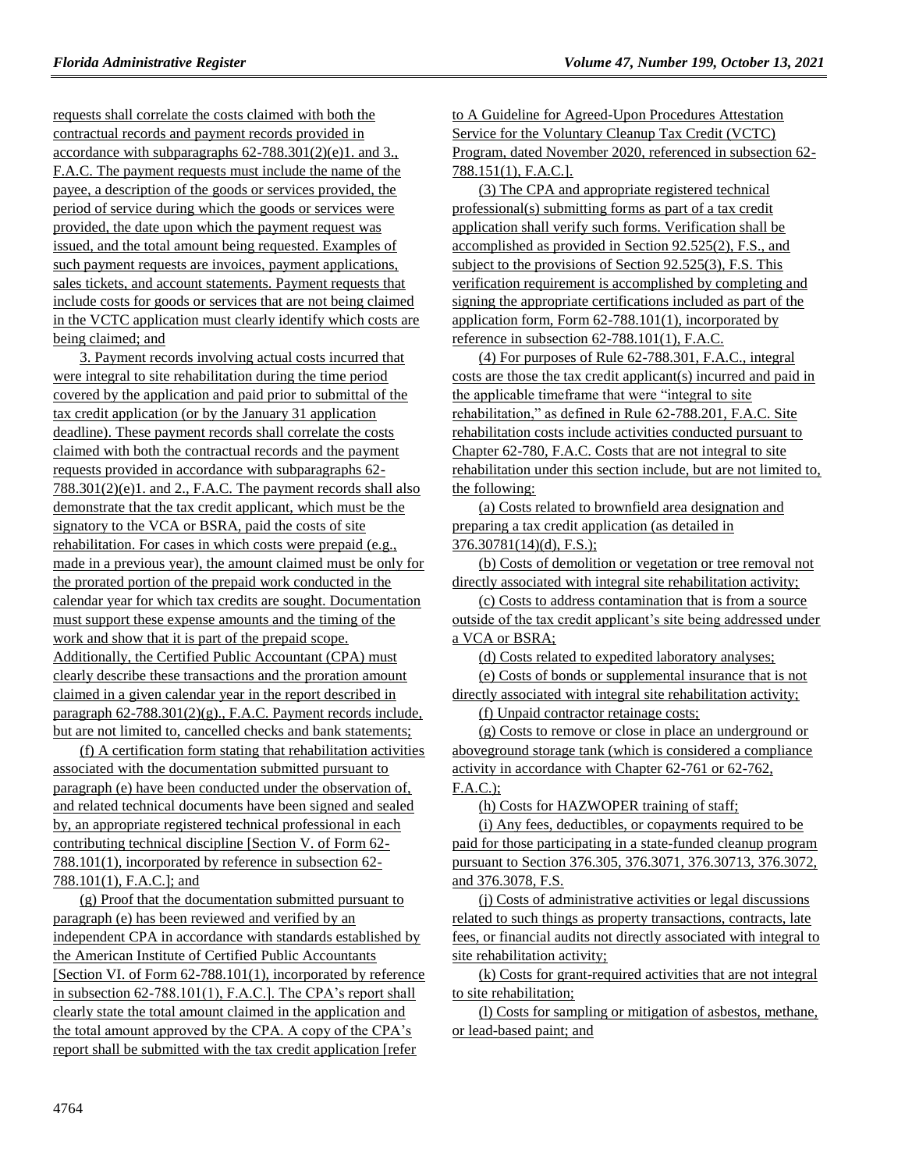requests shall correlate the costs claimed with both the contractual records and payment records provided in accordance with subparagraphs  $62-788.301(2)(e)1$ . and 3., F.A.C. The payment requests must include the name of the payee, a description of the goods or services provided, the period of service during which the goods or services were provided, the date upon which the payment request was issued, and the total amount being requested. Examples of such payment requests are invoices, payment applications, sales tickets, and account statements. Payment requests that include costs for goods or services that are not being claimed in the VCTC application must clearly identify which costs are being claimed; and

3. Payment records involving actual costs incurred that were integral to site rehabilitation during the time period covered by the application and paid prior to submittal of the tax credit application (or by the January 31 application deadline). These payment records shall correlate the costs claimed with both the contractual records and the payment requests provided in accordance with subparagraphs 62- 788.301(2)(e)1. and 2., F.A.C. The payment records shall also demonstrate that the tax credit applicant, which must be the signatory to the VCA or BSRA, paid the costs of site rehabilitation. For cases in which costs were prepaid (e.g., made in a previous year), the amount claimed must be only for the prorated portion of the prepaid work conducted in the calendar year for which tax credits are sought. Documentation must support these expense amounts and the timing of the work and show that it is part of the prepaid scope. Additionally, the Certified Public Accountant (CPA) must clearly describe these transactions and the proration amount claimed in a given calendar year in the report described in paragraph 62-788.301(2)(g)., F.A.C. Payment records include, but are not limited to, cancelled checks and bank statements;

(f) A certification form stating that rehabilitation activities associated with the documentation submitted pursuant to paragraph (e) have been conducted under the observation of, and related technical documents have been signed and sealed by, an appropriate registered technical professional in each contributing technical discipline [Section V. of Form 62- 788.101(1), incorporated by reference in subsection 62- 788.101(1), F.A.C.]; and

(g) Proof that the documentation submitted pursuant to paragraph (e) has been reviewed and verified by an independent CPA in accordance with standards established by the American Institute of Certified Public Accountants [Section VI. of Form 62-788.101(1), incorporated by reference in subsection 62-788.101(1), F.A.C.]. The CPA's report shall clearly state the total amount claimed in the application and the total amount approved by the CPA. A copy of the CPA's report shall be submitted with the tax credit application [refer

to A Guideline for Agreed-Upon Procedures Attestation Service for the Voluntary Cleanup Tax Credit (VCTC) Program, dated November 2020, referenced in subsection 62- 788.151(1), F.A.C.].

(3) The CPA and appropriate registered technical professional(s) submitting forms as part of a tax credit application shall verify such forms. Verification shall be accomplished as provided in Section 92.525(2), F.S., and subject to the provisions of Section 92.525(3), F.S. This verification requirement is accomplished by completing and signing the appropriate certifications included as part of the application form, Form 62-788.101(1), incorporated by reference in subsection 62-788.101(1), F.A.C.

(4) For purposes of Rule 62-788.301, F.A.C., integral costs are those the tax credit applicant(s) incurred and paid in the applicable timeframe that were "integral to site rehabilitation," as defined in Rule 62-788.201, F.A.C. Site rehabilitation costs include activities conducted pursuant to Chapter 62-780, F.A.C. Costs that are not integral to site rehabilitation under this section include, but are not limited to, the following:

(a) Costs related to brownfield area designation and preparing a tax credit application (as detailed in  $376.30781(14)(d)$ , F.S.);

(b) Costs of demolition or vegetation or tree removal not directly associated with integral site rehabilitation activity;

(c) Costs to address contamination that is from a source outside of the tax credit applicant's site being addressed under a VCA or BSRA;

(d) Costs related to expedited laboratory analyses; (e) Costs of bonds or supplemental insurance that is not directly associated with integral site rehabilitation activity;

(f) Unpaid contractor retainage costs;

(g) Costs to remove or close in place an underground or aboveground storage tank (which is considered a compliance activity in accordance with Chapter 62-761 or 62-762,  $F.A.C.$ );

(h) Costs for HAZWOPER training of staff;

(i) Any fees, deductibles, or copayments required to be paid for those participating in a state-funded cleanup program pursuant to Section 376.305, 376.3071, 376.30713, 376.3072, and 376.3078, F.S.

(j) Costs of administrative activities or legal discussions related to such things as property transactions, contracts, late fees, or financial audits not directly associated with integral to site rehabilitation activity;

(k) Costs for grant-required activities that are not integral to site rehabilitation;

(l) Costs for sampling or mitigation of asbestos, methane, or lead-based paint; and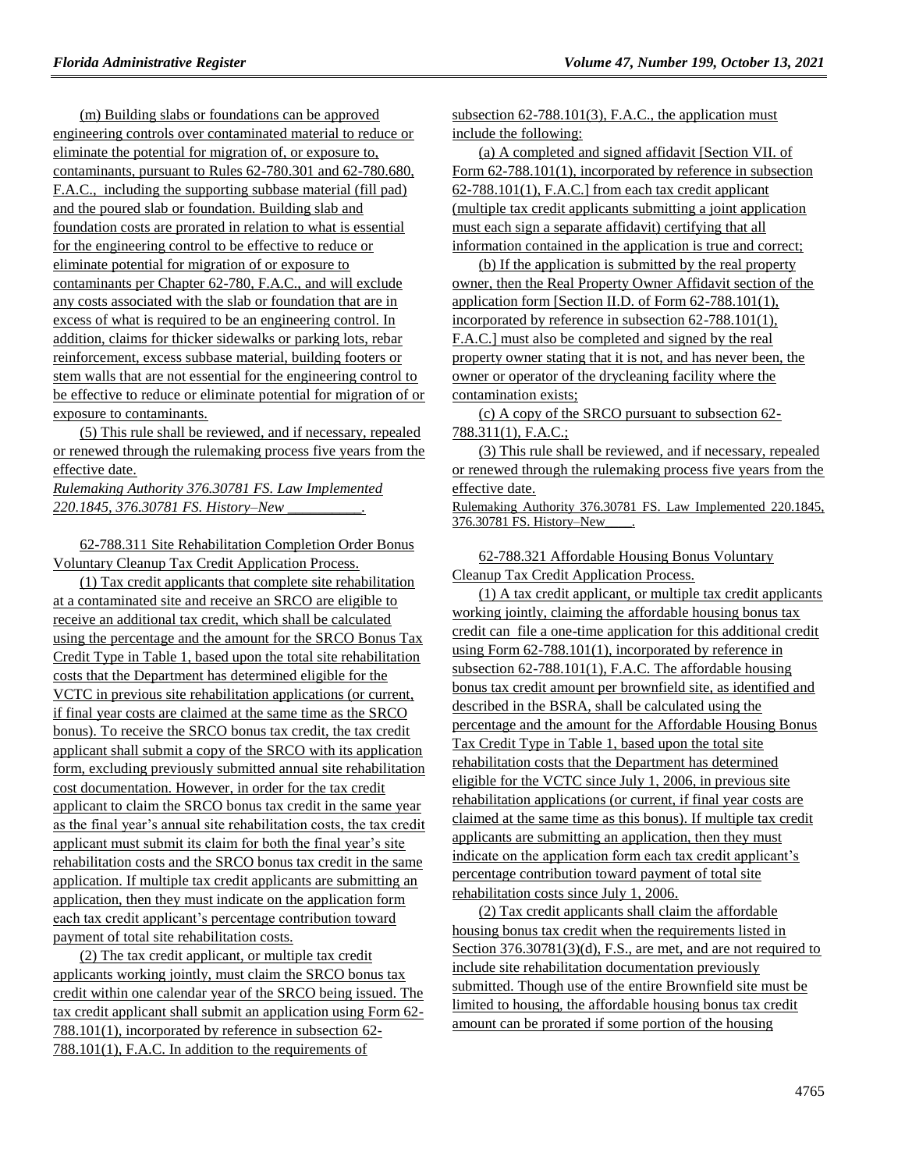(m) Building slabs or foundations can be approved engineering controls over contaminated material to reduce or eliminate the potential for migration of, or exposure to, contaminants, pursuant to Rules 62-780.301 and 62-780.680, F.A.C., including the supporting subbase material (fill pad) and the poured slab or foundation. Building slab and foundation costs are prorated in relation to what is essential for the engineering control to be effective to reduce or eliminate potential for migration of or exposure to contaminants per Chapter 62-780, F.A.C., and will exclude any costs associated with the slab or foundation that are in excess of what is required to be an engineering control. In addition, claims for thicker sidewalks or parking lots, rebar reinforcement, excess subbase material, building footers or stem walls that are not essential for the engineering control to be effective to reduce or eliminate potential for migration of or exposure to contaminants.

(5) This rule shall be reviewed, and if necessary, repealed or renewed through the rulemaking process five years from the effective date.

*Rulemaking Authority 376.30781 FS. Law Implemented 220.1845, 376.30781 FS. History–New \_\_\_\_\_\_\_\_\_\_.*

62-788.311 Site Rehabilitation Completion Order Bonus Voluntary Cleanup Tax Credit Application Process.

(1) Tax credit applicants that complete site rehabilitation at a contaminated site and receive an SRCO are eligible to receive an additional tax credit, which shall be calculated using the percentage and the amount for the SRCO Bonus Tax Credit Type in Table 1, based upon the total site rehabilitation costs that the Department has determined eligible for the VCTC in previous site rehabilitation applications (or current, if final year costs are claimed at the same time as the SRCO bonus). To receive the SRCO bonus tax credit, the tax credit applicant shall submit a copy of the SRCO with its application form, excluding previously submitted annual site rehabilitation cost documentation. However, in order for the tax credit applicant to claim the SRCO bonus tax credit in the same year as the final year's annual site rehabilitation costs, the tax credit applicant must submit its claim for both the final year's site rehabilitation costs and the SRCO bonus tax credit in the same application. If multiple tax credit applicants are submitting an application, then they must indicate on the application form each tax credit applicant's percentage contribution toward payment of total site rehabilitation costs.

(2) The tax credit applicant, or multiple tax credit applicants working jointly, must claim the SRCO bonus tax credit within one calendar year of the SRCO being issued. The tax credit applicant shall submit an application using Form 62- 788.101(1), incorporated by reference in subsection 62- 788.101(1), F.A.C. In addition to the requirements of

subsection 62-788.101(3), F.A.C., the application must include the following:

(a) A completed and signed affidavit [Section VII. of Form 62-788.101(1), incorporated by reference in subsection 62-788.101(1), F.A.C.] from each tax credit applicant (multiple tax credit applicants submitting a joint application must each sign a separate affidavit) certifying that all information contained in the application is true and correct;

(b) If the application is submitted by the real property owner, then the Real Property Owner Affidavit section of the application form [Section II.D. of Form 62-788.101(1), incorporated by reference in subsection 62-788.101(1), F.A.C.] must also be completed and signed by the real property owner stating that it is not, and has never been, the owner or operator of the drycleaning facility where the contamination exists;

(c) A copy of the SRCO pursuant to subsection 62- 788.311(1), F.A.C.;

(3) This rule shall be reviewed, and if necessary, repealed or renewed through the rulemaking process five years from the effective date. Rulemaking Authority 376.30781 FS. Law Implemented 220.1845,

376.30781 FS. History–New\_\_\_\_.

62-788.321 Affordable Housing Bonus Voluntary Cleanup Tax Credit Application Process.

(1) A tax credit applicant, or multiple tax credit applicants working jointly, claiming the affordable housing bonus tax credit can file a one-time application for this additional credit using Form 62-788.101(1), incorporated by reference in subsection 62-788.101(1), F.A.C. The affordable housing bonus tax credit amount per brownfield site, as identified and described in the BSRA, shall be calculated using the percentage and the amount for the Affordable Housing Bonus Tax Credit Type in Table 1, based upon the total site rehabilitation costs that the Department has determined eligible for the VCTC since July 1, 2006, in previous site rehabilitation applications (or current, if final year costs are claimed at the same time as this bonus). If multiple tax credit applicants are submitting an application, then they must indicate on the application form each tax credit applicant's percentage contribution toward payment of total site rehabilitation costs since July 1, 2006.

(2) Tax credit applicants shall claim the affordable housing bonus tax credit when the requirements listed in Section 376.30781(3)(d), F.S., are met, and are not required to include site rehabilitation documentation previously submitted. Though use of the entire Brownfield site must be limited to housing, the affordable housing bonus tax credit amount can be prorated if some portion of the housing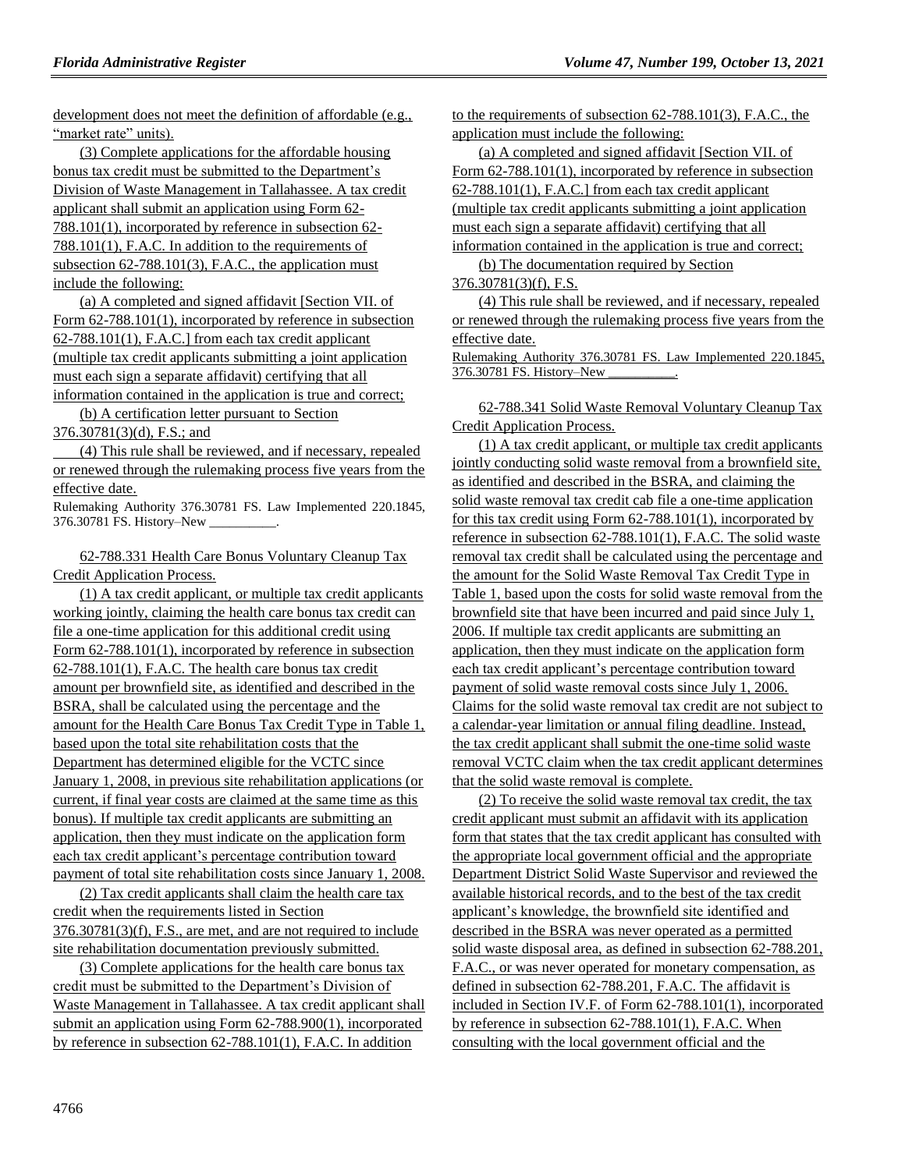development does not meet the definition of affordable (e.g., "market rate" units).

(3) Complete applications for the affordable housing bonus tax credit must be submitted to the Department's Division of Waste Management in Tallahassee. A tax credit applicant shall submit an application using Form 62- 788.101(1), incorporated by reference in subsection 62- 788.101(1), F.A.C. In addition to the requirements of subsection 62-788.101(3), F.A.C., the application must include the following:

(a) A completed and signed affidavit [Section VII. of Form 62-788.101(1), incorporated by reference in subsection 62-788.101(1), F.A.C.] from each tax credit applicant (multiple tax credit applicants submitting a joint application must each sign a separate affidavit) certifying that all information contained in the application is true and correct;

(b) A certification letter pursuant to Section

376.30781(3)(d), F.S.; and

(4) This rule shall be reviewed, and if necessary, repealed or renewed through the rulemaking process five years from the effective date.

Rulemaking Authority 376.30781 FS. Law Implemented 220.1845, 376.30781 FS. History–New \_\_\_\_\_\_\_\_\_\_.

62-788.331 Health Care Bonus Voluntary Cleanup Tax Credit Application Process.

(1) A tax credit applicant, or multiple tax credit applicants working jointly, claiming the health care bonus tax credit can file a one-time application for this additional credit using Form 62-788.101(1), incorporated by reference in subsection 62-788.101(1), F.A.C. The health care bonus tax credit amount per brownfield site, as identified and described in the BSRA, shall be calculated using the percentage and the amount for the Health Care Bonus Tax Credit Type in Table 1, based upon the total site rehabilitation costs that the Department has determined eligible for the VCTC since January 1, 2008, in previous site rehabilitation applications (or current, if final year costs are claimed at the same time as this bonus). If multiple tax credit applicants are submitting an application, then they must indicate on the application form each tax credit applicant's percentage contribution toward payment of total site rehabilitation costs since January 1, 2008.

(2) Tax credit applicants shall claim the health care tax credit when the requirements listed in Section 376.30781(3)(f), F.S., are met, and are not required to include site rehabilitation documentation previously submitted.

(3) Complete applications for the health care bonus tax credit must be submitted to the Department's Division of Waste Management in Tallahassee. A tax credit applicant shall submit an application using Form 62-788.900(1), incorporated by reference in subsection 62-788.101(1), F.A.C. In addition

to the requirements of subsection 62-788.101(3), F.A.C., the application must include the following:

(a) A completed and signed affidavit [Section VII. of Form 62-788.101(1), incorporated by reference in subsection 62-788.101(1), F.A.C.] from each tax credit applicant (multiple tax credit applicants submitting a joint application must each sign a separate affidavit) certifying that all

information contained in the application is true and correct; (b) The documentation required by Section

376.30781(3)(f), F.S.

(4) This rule shall be reviewed, and if necessary, repealed or renewed through the rulemaking process five years from the effective date.

Rulemaking Authority 376.30781 FS. Law Implemented 220.1845, 376.30781 FS. History–New

62-788.341 Solid Waste Removal Voluntary Cleanup Tax Credit Application Process.

(1) A tax credit applicant, or multiple tax credit applicants jointly conducting solid waste removal from a brownfield site, as identified and described in the BSRA, and claiming the solid waste removal tax credit cab file a one-time application for this tax credit using Form 62-788.101(1), incorporated by reference in subsection 62-788.101(1), F.A.C. The solid waste removal tax credit shall be calculated using the percentage and the amount for the Solid Waste Removal Tax Credit Type in Table 1, based upon the costs for solid waste removal from the brownfield site that have been incurred and paid since July 1, 2006. If multiple tax credit applicants are submitting an application, then they must indicate on the application form each tax credit applicant's percentage contribution toward payment of solid waste removal costs since July 1, 2006. Claims for the solid waste removal tax credit are not subject to a calendar-year limitation or annual filing deadline. Instead, the tax credit applicant shall submit the one-time solid waste removal VCTC claim when the tax credit applicant determines that the solid waste removal is complete.

(2) To receive the solid waste removal tax credit, the tax credit applicant must submit an affidavit with its application form that states that the tax credit applicant has consulted with the appropriate local government official and the appropriate Department District Solid Waste Supervisor and reviewed the available historical records, and to the best of the tax credit applicant's knowledge, the brownfield site identified and described in the BSRA was never operated as a permitted solid waste disposal area, as defined in subsection 62-788.201, F.A.C., or was never operated for monetary compensation, as defined in subsection 62-788.201, F.A.C. The affidavit is included in Section IV.F. of Form 62-788.101(1), incorporated by reference in subsection 62-788.101(1), F.A.C. When consulting with the local government official and the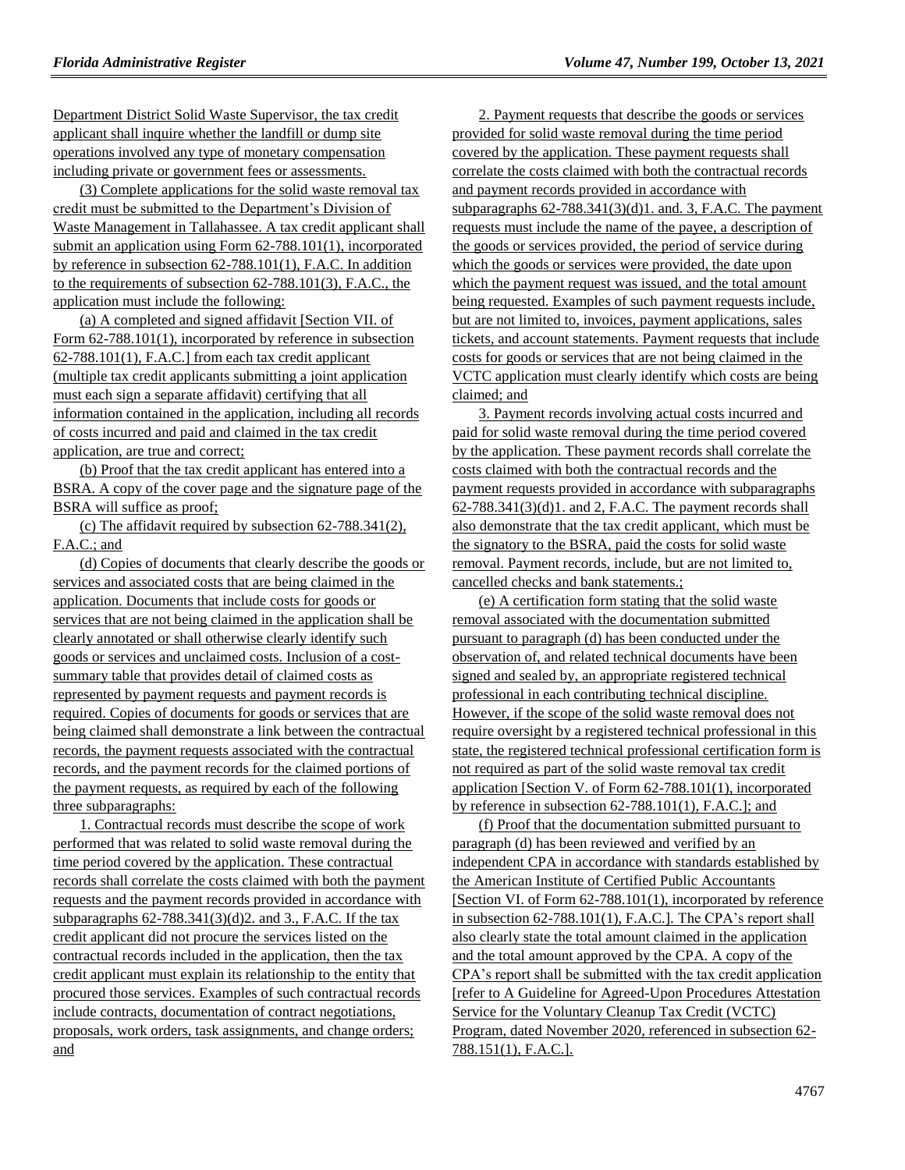Department District Solid Waste Supervisor, the tax credit applicant shall inquire whether the landfill or dump site operations involved any type of monetary compensation including private or government fees or assessments.

(3) Complete applications for the solid waste removal tax credit must be submitted to the Department's Division of Waste Management in Tallahassee. A tax credit applicant shall submit an application using Form 62-788.101(1), incorporated by reference in subsection 62-788.101(1), F.A.C. In addition to the requirements of subsection 62-788.101(3), F.A.C., the application must include the following:

(a) A completed and signed affidavit [Section VII. of Form 62-788.101(1), incorporated by reference in subsection 62-788.101(1), F.A.C.] from each tax credit applicant (multiple tax credit applicants submitting a joint application must each sign a separate affidavit) certifying that all information contained in the application, including all records of costs incurred and paid and claimed in the tax credit application, are true and correct;

(b) Proof that the tax credit applicant has entered into a BSRA. A copy of the cover page and the signature page of the BSRA will suffice as proof;

(c) The affidavit required by subsection 62-788.341(2), F.A.C.; and

(d) Copies of documents that clearly describe the goods or services and associated costs that are being claimed in the application. Documents that include costs for goods or services that are not being claimed in the application shall be clearly annotated or shall otherwise clearly identify such goods or services and unclaimed costs. Inclusion of a costsummary table that provides detail of claimed costs as represented by payment requests and payment records is required. Copies of documents for goods or services that are being claimed shall demonstrate a link between the contractual records, the payment requests associated with the contractual records, and the payment records for the claimed portions of the payment requests, as required by each of the following three subparagraphs:

1. Contractual records must describe the scope of work performed that was related to solid waste removal during the time period covered by the application. These contractual records shall correlate the costs claimed with both the payment requests and the payment records provided in accordance with subparagraphs  $62-788.341(3)(d)2$ . and 3., F.A.C. If the tax credit applicant did not procure the services listed on the contractual records included in the application, then the tax credit applicant must explain its relationship to the entity that procured those services. Examples of such contractual records include contracts, documentation of contract negotiations, proposals, work orders, task assignments, and change orders; and

2. Payment requests that describe the goods or services provided for solid waste removal during the time period covered by the application. These payment requests shall correlate the costs claimed with both the contractual records and payment records provided in accordance with subparagraphs  $62-788.341(3)(d)1$ . and. 3, F.A.C. The payment requests must include the name of the payee, a description of the goods or services provided, the period of service during which the goods or services were provided, the date upon which the payment request was issued, and the total amount being requested. Examples of such payment requests include, but are not limited to, invoices, payment applications, sales tickets, and account statements. Payment requests that include costs for goods or services that are not being claimed in the VCTC application must clearly identify which costs are being claimed; and

3. Payment records involving actual costs incurred and paid for solid waste removal during the time period covered by the application. These payment records shall correlate the costs claimed with both the contractual records and the payment requests provided in accordance with subparagraphs  $62-788.341(3)(d)1$ . and 2, F.A.C. The payment records shall also demonstrate that the tax credit applicant, which must be the signatory to the BSRA, paid the costs for solid waste removal. Payment records, include, but are not limited to, cancelled checks and bank statements.;

(e) A certification form stating that the solid waste removal associated with the documentation submitted pursuant to paragraph (d) has been conducted under the observation of, and related technical documents have been signed and sealed by, an appropriate registered technical professional in each contributing technical discipline. However, if the scope of the solid waste removal does not require oversight by a registered technical professional in this state, the registered technical professional certification form is not required as part of the solid waste removal tax credit application [Section V. of Form 62-788.101(1), incorporated by reference in subsection 62-788.101(1), F.A.C.]; and

(f) Proof that the documentation submitted pursuant to paragraph (d) has been reviewed and verified by an independent CPA in accordance with standards established by the American Institute of Certified Public Accountants [Section VI. of Form 62-788.101(1), incorporated by reference in subsection 62-788.101(1), F.A.C.]. The CPA's report shall also clearly state the total amount claimed in the application and the total amount approved by the CPA. A copy of the CPA's report shall be submitted with the tax credit application [refer to A Guideline for Agreed-Upon Procedures Attestation Service for the Voluntary Cleanup Tax Credit (VCTC) Program, dated November 2020, referenced in subsection 62- 788.151(1), F.A.C.].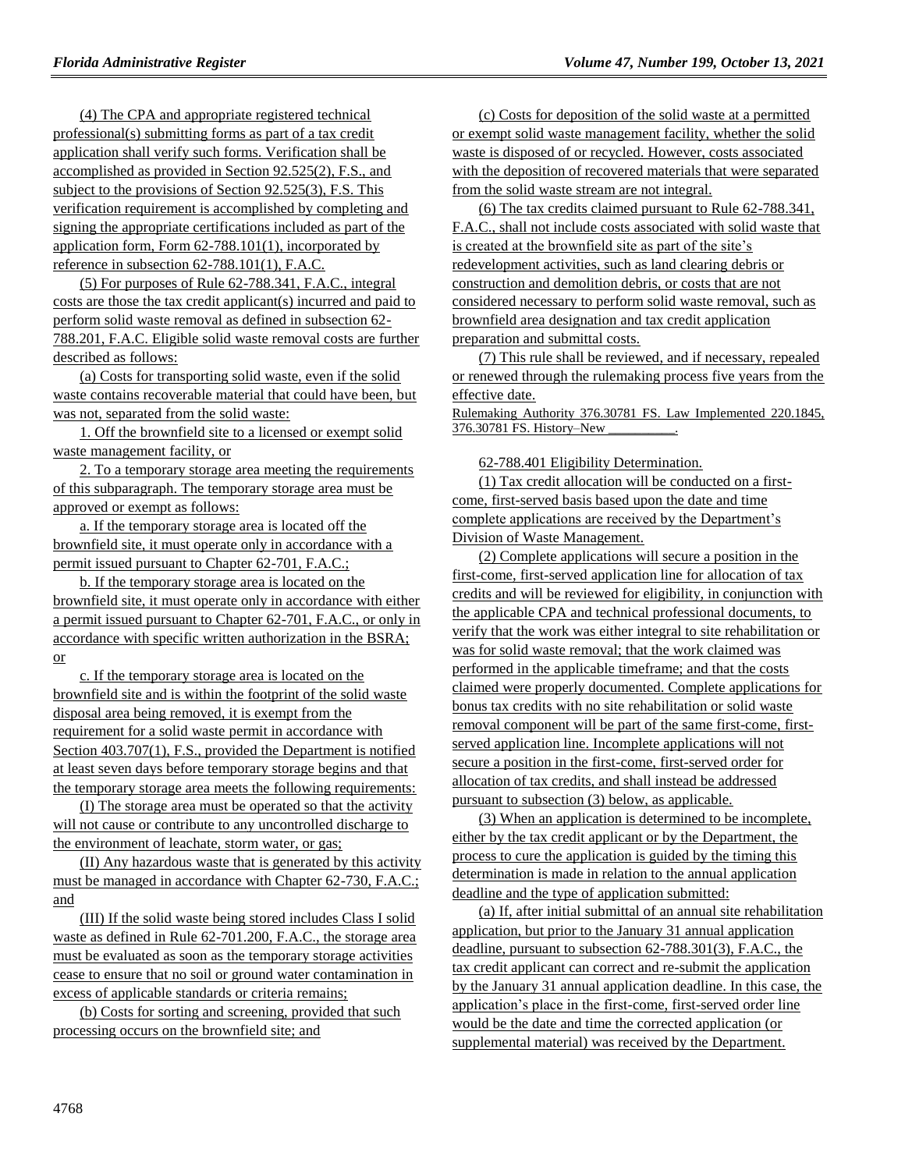(4) The CPA and appropriate registered technical professional(s) submitting forms as part of a tax credit application shall verify such forms. Verification shall be accomplished as provided in Section 92.525(2), F.S., and subject to the provisions of Section 92.525(3), F.S. This verification requirement is accomplished by completing and signing the appropriate certifications included as part of the application form, Form 62-788.101(1), incorporated by reference in subsection 62-788.101(1), F.A.C.

(5) For purposes of Rule 62-788.341, F.A.C., integral costs are those the tax credit applicant(s) incurred and paid to perform solid waste removal as defined in subsection 62- 788.201, F.A.C. Eligible solid waste removal costs are further described as follows:

(a) Costs for transporting solid waste, even if the solid waste contains recoverable material that could have been, but was not, separated from the solid waste:

1. Off the brownfield site to a licensed or exempt solid waste management facility, or

2. To a temporary storage area meeting the requirements of this subparagraph. The temporary storage area must be approved or exempt as follows:

a. If the temporary storage area is located off the brownfield site, it must operate only in accordance with a permit issued pursuant to Chapter 62-701, F.A.C.;

b. If the temporary storage area is located on the brownfield site, it must operate only in accordance with either a permit issued pursuant to Chapter 62-701, F.A.C., or only in accordance with specific written authorization in the BSRA; or

c. If the temporary storage area is located on the brownfield site and is within the footprint of the solid waste disposal area being removed, it is exempt from the requirement for a solid waste permit in accordance with Section 403.707(1), F.S., provided the Department is notified at least seven days before temporary storage begins and that the temporary storage area meets the following requirements:

(I) The storage area must be operated so that the activity will not cause or contribute to any uncontrolled discharge to the environment of leachate, storm water, or gas;

(II) Any hazardous waste that is generated by this activity must be managed in accordance with Chapter 62-730, F.A.C.; and

(III) If the solid waste being stored includes Class I solid waste as defined in Rule 62-701.200, F.A.C., the storage area must be evaluated as soon as the temporary storage activities cease to ensure that no soil or ground water contamination in excess of applicable standards or criteria remains;

(b) Costs for sorting and screening, provided that such processing occurs on the brownfield site; and

(c) Costs for deposition of the solid waste at a permitted or exempt solid waste management facility, whether the solid waste is disposed of or recycled. However, costs associated with the deposition of recovered materials that were separated from the solid waste stream are not integral.

(6) The tax credits claimed pursuant to Rule 62-788.341, F.A.C., shall not include costs associated with solid waste that is created at the brownfield site as part of the site's redevelopment activities, such as land clearing debris or construction and demolition debris, or costs that are not considered necessary to perform solid waste removal, such as brownfield area designation and tax credit application preparation and submittal costs.

(7) This rule shall be reviewed, and if necessary, repealed or renewed through the rulemaking process five years from the effective date.

Rulemaking Authority 376.30781 FS. Law Implemented 220.1845, 376.30781 FS. History-New

#### 62-788.401 Eligibility Determination.

(1) Tax credit allocation will be conducted on a firstcome, first-served basis based upon the date and time complete applications are received by the Department's Division of Waste Management.

(2) Complete applications will secure a position in the first-come, first-served application line for allocation of tax credits and will be reviewed for eligibility, in conjunction with the applicable CPA and technical professional documents, to verify that the work was either integral to site rehabilitation or was for solid waste removal; that the work claimed was performed in the applicable timeframe; and that the costs claimed were properly documented. Complete applications for bonus tax credits with no site rehabilitation or solid waste removal component will be part of the same first-come, firstserved application line. Incomplete applications will not secure a position in the first-come, first-served order for allocation of tax credits, and shall instead be addressed pursuant to subsection (3) below, as applicable.

(3) When an application is determined to be incomplete, either by the tax credit applicant or by the Department, the process to cure the application is guided by the timing this determination is made in relation to the annual application deadline and the type of application submitted:

(a) If, after initial submittal of an annual site rehabilitation application, but prior to the January 31 annual application deadline, pursuant to subsection 62-788.301(3), F.A.C., the tax credit applicant can correct and re-submit the application by the January 31 annual application deadline. In this case, the application's place in the first-come, first-served order line would be the date and time the corrected application (or supplemental material) was received by the Department.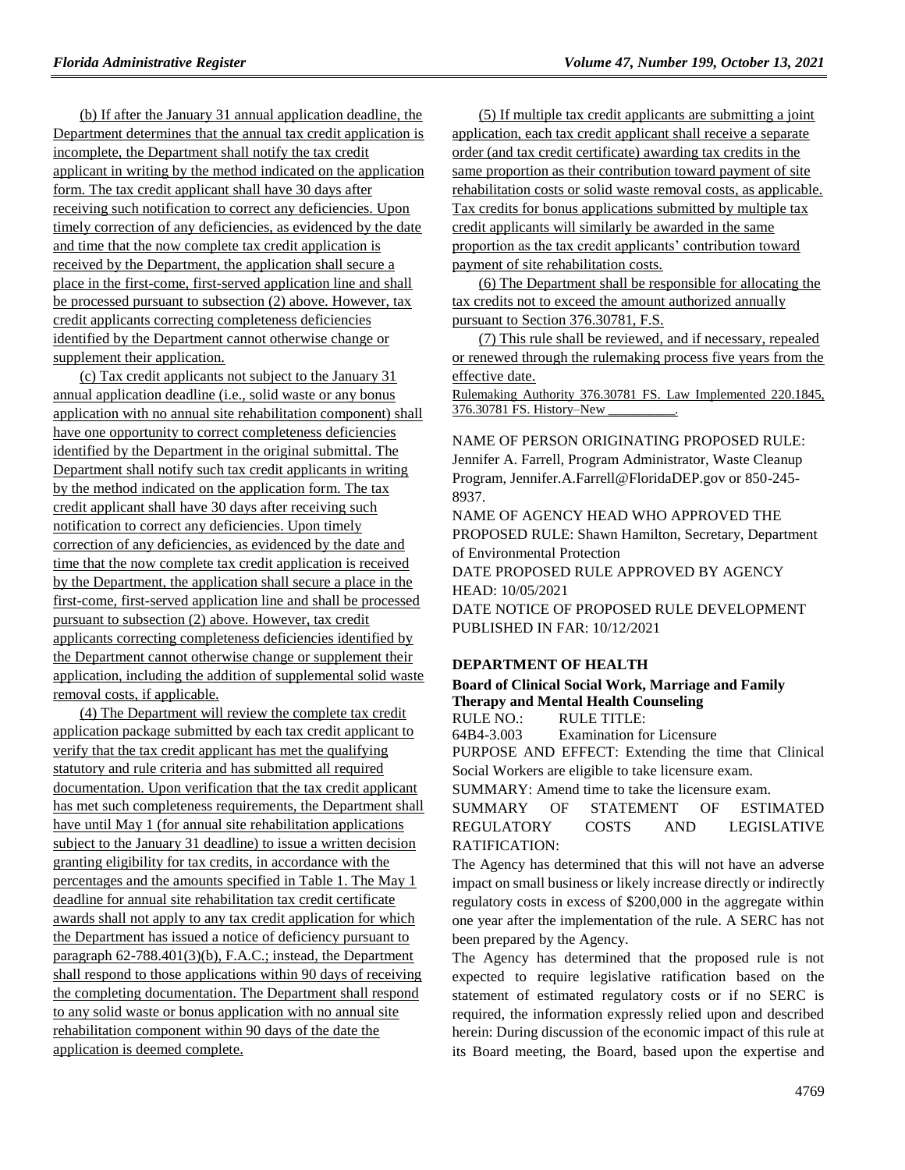(b) If after the January 31 annual application deadline, the Department determines that the annual tax credit application is incomplete, the Department shall notify the tax credit applicant in writing by the method indicated on the application form. The tax credit applicant shall have 30 days after receiving such notification to correct any deficiencies. Upon timely correction of any deficiencies, as evidenced by the date and time that the now complete tax credit application is received by the Department, the application shall secure a place in the first-come, first-served application line and shall be processed pursuant to subsection (2) above. However, tax credit applicants correcting completeness deficiencies identified by the Department cannot otherwise change or supplement their application.

(c) Tax credit applicants not subject to the January 31 annual application deadline (i.e., solid waste or any bonus application with no annual site rehabilitation component) shall have one opportunity to correct completeness deficiencies identified by the Department in the original submittal. The Department shall notify such tax credit applicants in writing by the method indicated on the application form. The tax credit applicant shall have 30 days after receiving such notification to correct any deficiencies. Upon timely correction of any deficiencies, as evidenced by the date and time that the now complete tax credit application is received by the Department, the application shall secure a place in the first-come, first-served application line and shall be processed pursuant to subsection (2) above. However, tax credit applicants correcting completeness deficiencies identified by the Department cannot otherwise change or supplement their application, including the addition of supplemental solid waste removal costs, if applicable.

(4) The Department will review the complete tax credit application package submitted by each tax credit applicant to verify that the tax credit applicant has met the qualifying statutory and rule criteria and has submitted all required documentation. Upon verification that the tax credit applicant has met such completeness requirements, the Department shall have until May 1 (for annual site rehabilitation applications subject to the January 31 deadline) to issue a written decision granting eligibility for tax credits, in accordance with the percentages and the amounts specified in Table 1. The May 1 deadline for annual site rehabilitation tax credit certificate awards shall not apply to any tax credit application for which the Department has issued a notice of deficiency pursuant to paragraph 62-788.401(3)(b), F.A.C.; instead, the Department shall respond to those applications within 90 days of receiving the completing documentation. The Department shall respond to any solid waste or bonus application with no annual site rehabilitation component within 90 days of the date the application is deemed complete.

(5) If multiple tax credit applicants are submitting a joint application, each tax credit applicant shall receive a separate order (and tax credit certificate) awarding tax credits in the same proportion as their contribution toward payment of site rehabilitation costs or solid waste removal costs, as applicable. Tax credits for bonus applications submitted by multiple tax credit applicants will similarly be awarded in the same proportion as the tax credit applicants' contribution toward payment of site rehabilitation costs.

(6) The Department shall be responsible for allocating the tax credits not to exceed the amount authorized annually pursuant to Section 376.30781, F.S.

(7) This rule shall be reviewed, and if necessary, repealed or renewed through the rulemaking process five years from the effective date.

Rulemaking Authority 376.30781 FS. Law Implemented 220.1845, 376.30781 FS. History-New

NAME OF PERSON ORIGINATING PROPOSED RULE: Jennifer A. Farrell, Program Administrator, Waste Cleanup Program, Jennifer.A.Farrell@FloridaDEP.gov or 850-245- 8937.

NAME OF AGENCY HEAD WHO APPROVED THE PROPOSED RULE: Shawn Hamilton, Secretary, Department of Environmental Protection DATE PROPOSED RULE APPROVED BY AGENCY HEAD: 10/05/2021 DATE NOTICE OF PROPOSED RULE DEVELOPMENT PUBLISHED IN FAR: 10/12/2021

#### **[DEPARTMENT OF HEALTH](https://www.flrules.org/gateway/department.asp?id=64)**

**[Board of Clinical Social Work, Marriage and Family](https://www.flrules.org/gateway/organization.asp?id=327)  Therapy and [Mental Health Counseling](https://www.flrules.org/gateway/organization.asp?id=327)** RULE NO.: RULE TITLE:

[64B4-3.003](https://www.flrules.org/gateway/ruleNo.asp?id=64B4-3.003) Examination for Licensure PURPOSE AND EFFECT: Extending the time that Clinical

Social Workers are eligible to take licensure exam.

SUMMARY: Amend time to take the licensure exam.

SUMMARY OF STATEMENT OF ESTIMATED REGULATORY COSTS AND LEGISLATIVE RATIFICATION:

The Agency has determined that this will not have an adverse impact on small business or likely increase directly or indirectly regulatory costs in excess of \$200,000 in the aggregate within one year after the implementation of the rule. A SERC has not been prepared by the Agency.

The Agency has determined that the proposed rule is not expected to require legislative ratification based on the statement of estimated regulatory costs or if no SERC is required, the information expressly relied upon and described herein: During discussion of the economic impact of this rule at its Board meeting, the Board, based upon the expertise and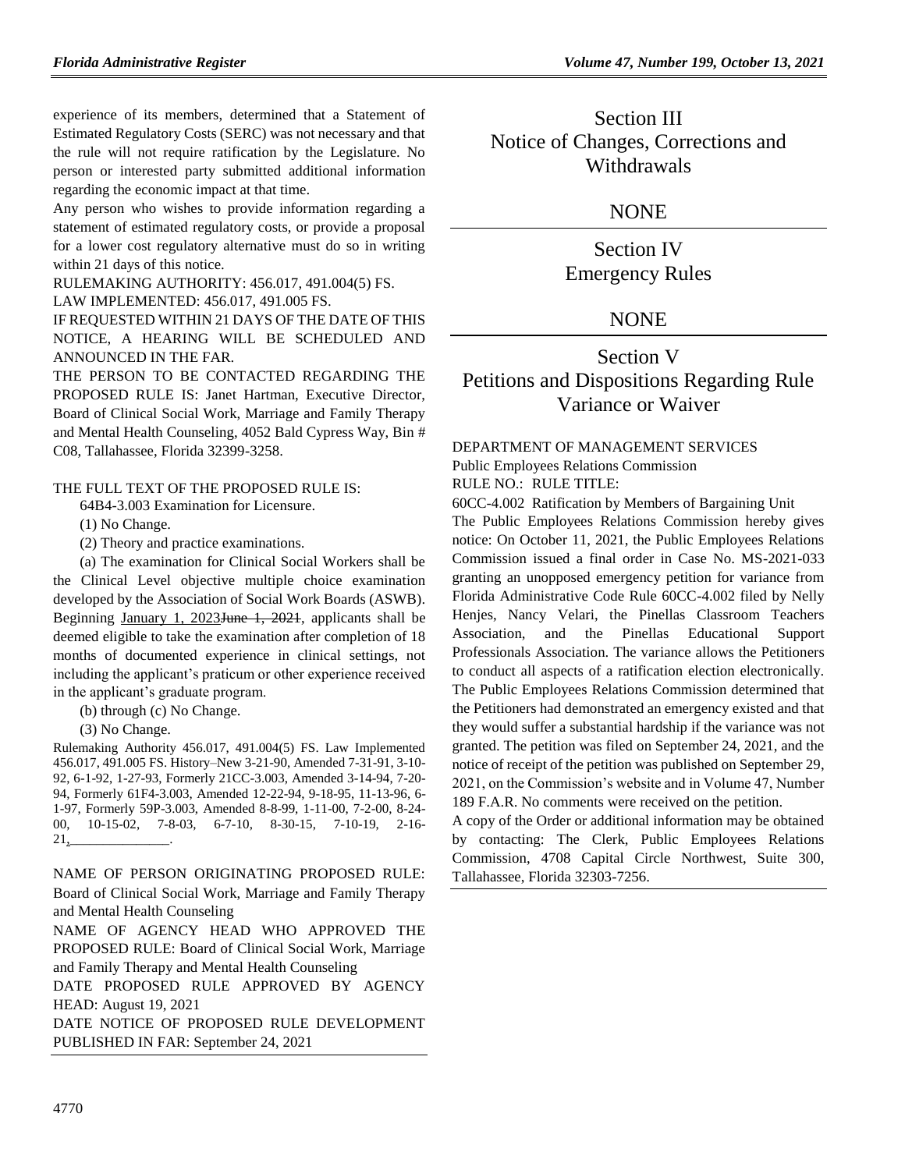experience of its members, determined that a Statement of Estimated Regulatory Costs (SERC) was not necessary and that the rule will not require ratification by the Legislature. No person or interested party submitted additional information regarding the economic impact at that time.

Any person who wishes to provide information regarding a statement of estimated regulatory costs, or provide a proposal for a lower cost regulatory alternative must do so in writing within 21 days of this notice.

RULEMAKING AUTHORITY: [456.017,](https://www.flrules.org/gateway/statute.asp?id=456.017) [491.004\(5\) FS.](https://www.flrules.org/gateway/statute.asp?id=%20491.004(5)%20FS.)

LAW IMPLEMENTED: [456.017,](https://www.flrules.org/gateway/statute.asp?id=456.017) [491.005 FS.](https://www.flrules.org/gateway/statute.asp?id=%20491.005%20FS.)

IF REQUESTED WITHIN 21 DAYS OF THE DATE OF THIS NOTICE, A HEARING WILL BE SCHEDULED AND ANNOUNCED IN THE FAR.

THE PERSON TO BE CONTACTED REGARDING THE PROPOSED RULE IS: Janet Hartman, Executive Director, Board of Clinical Social Work, Marriage and Family Therapy and Mental Health Counseling, 4052 Bald Cypress Way, Bin # C08, Tallahassee, Florida 32399-3258.

### THE FULL TEXT OF THE PROPOSED RULE IS:

64B4-3.003 Examination for Licensure.

(1) No Change.

(2) Theory and practice examinations.

(a) The examination for Clinical Social Workers shall be the Clinical Level objective multiple choice examination developed by the Association of Social Work Boards (ASWB). Beginning January 1, 2023 June 1, 2021, applicants shall be deemed eligible to take the examination after completion of 18 months of documented experience in clinical settings, not including the applicant's praticum or other experience received in the applicant's graduate program.

(b) through (c) No Change.

(3) No Change.

Rulemaking Authority 456.017, 491.004(5) FS. Law Implemented 456.017, 491.005 FS. History–New 3-21-90, Amended 7-31-91, 3-10- 92, 6-1-92, 1-27-93, Formerly 21CC-3.003, Amended 3-14-94, 7-20- 94, Formerly 61F4-3.003, Amended 12-22-94, 9-18-95, 11-13-96, 6- 1-97, Formerly 59P-3.003, Amended 8-8-99, 1-11-00, 7-2-00, 8-24- 00, 10-15-02, 7-8-03, 6-7-10, 8-30-15, 7-10-19, 2-16-  $21,$ 

NAME OF PERSON ORIGINATING PROPOSED RULE: Board of Clinical Social Work, Marriage and Family Therapy and Mental Health Counseling

NAME OF AGENCY HEAD WHO APPROVED THE PROPOSED RULE: Board of Clinical Social Work, Marriage and Family Therapy and Mental Health Counseling

DATE PROPOSED RULE APPROVED BY AGENCY HEAD: August 19, 2021

DATE NOTICE OF PROPOSED RULE DEVELOPMENT PUBLISHED IN FAR: September 24, 2021

## Section III Notice of Changes, Corrections and Withdrawals

## **NONE**

Section IV Emergency Rules

## **NONE**

# Section V Petitions and Dispositions Regarding Rule Variance or Waiver

## [DEPARTMENT OF MANAGEMENT SERVICES](https://www.flrules.org/gateway/department.asp?id=60)

[Public Employees Relations Commission](https://www.flrules.org/gateway/organization.asp?id=502) RULE NO.: RULE TITLE:

[60CC-4.002](https://www.flrules.org/gateway/ruleNo.asp?id=60CC-4.002) Ratification by Members of Bargaining Unit

The Public Employees Relations Commission hereby gives notice: On October 11, 2021, the Public Employees Relations Commission issued a final order in Case No. MS-2021-033 granting an unopposed emergency petition for variance from Florida Administrative Code Rule 60CC-4.002 filed by Nelly Henjes, Nancy Velari, the Pinellas Classroom Teachers Association, and the Pinellas Educational Support Professionals Association. The variance allows the Petitioners to conduct all aspects of a ratification election electronically. The Public Employees Relations Commission determined that the Petitioners had demonstrated an emergency existed and that they would suffer a substantial hardship if the variance was not granted. The petition was filed on September 24, 2021, and the notice of receipt of the petition was published on September 29, 2021, on the Commission's website and in Volume 47, Number 189 F.A.R. No comments were received on the petition.

A copy of the Order or additional information may be obtained by contacting: The Clerk, Public Employees Relations Commission, 4708 Capital Circle Northwest, Suite 300, Tallahassee, Florida 32303-7256.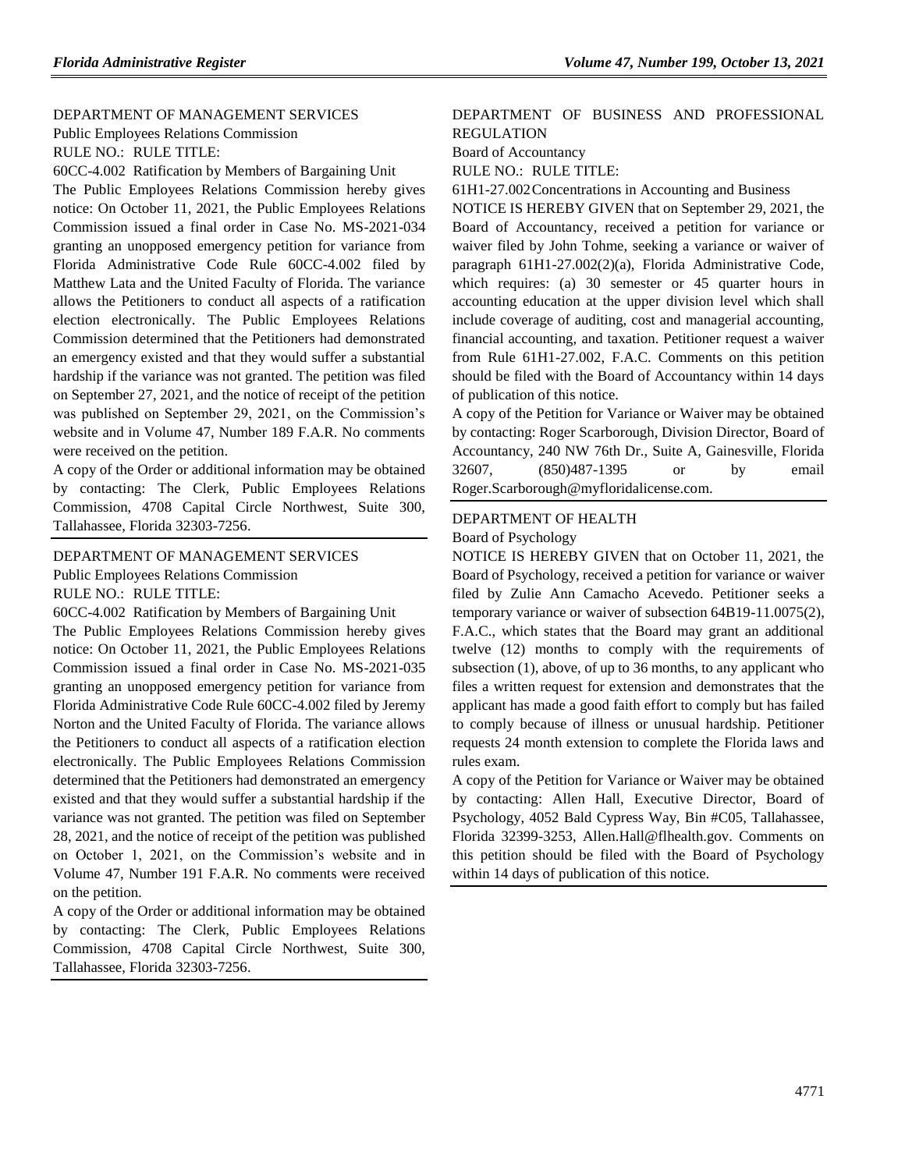#### [DEPARTMENT OF MANAGEMENT SERVICES](https://www.flrules.org/gateway/department.asp?id=60)

[Public Employees Relations Commission](https://www.flrules.org/gateway/organization.asp?id=502) RULE NO.: RULE TITLE:

[60CC-4.002](https://www.flrules.org/gateway/ruleNo.asp?id=60CC-4.002) Ratification by Members of Bargaining Unit

The Public Employees Relations Commission hereby gives notice: On October 11, 2021, the Public Employees Relations Commission issued a final order in Case No. MS-2021-034 granting an unopposed emergency petition for variance from Florida Administrative Code Rule 60CC-4.002 filed by Matthew Lata and the United Faculty of Florida. The variance allows the Petitioners to conduct all aspects of a ratification election electronically. The Public Employees Relations Commission determined that the Petitioners had demonstrated an emergency existed and that they would suffer a substantial hardship if the variance was not granted. The petition was filed on September 27, 2021, and the notice of receipt of the petition was published on September 29, 2021, on the Commission's website and in Volume 47, Number 189 F.A.R. No comments were received on the petition.

A copy of the Order or additional information may be obtained by contacting: The Clerk, Public Employees Relations Commission, 4708 Capital Circle Northwest, Suite 300, Tallahassee, Florida 32303-7256.

#### [DEPARTMENT OF MANAGEMENT SERVICES](https://www.flrules.org/gateway/department.asp?id=60)

[Public Employees Relations Commission](https://www.flrules.org/gateway/organization.asp?id=502)

RULE NO.: RULE TITLE:

[60CC-4.002](https://www.flrules.org/gateway/ruleNo.asp?id=60CC-4.002) Ratification by Members of Bargaining Unit The Public Employees Relations Commission hereby gives notice: On October 11, 2021, the Public Employees Relations Commission issued a final order in Case No. MS-2021-035 granting an unopposed emergency petition for variance from Florida Administrative Code Rule 60CC-4.002 filed by Jeremy Norton and the United Faculty of Florida. The variance allows the Petitioners to conduct all aspects of a ratification election electronically. The Public Employees Relations Commission determined that the Petitioners had demonstrated an emergency existed and that they would suffer a substantial hardship if the variance was not granted. The petition was filed on September 28, 2021, and the notice of receipt of the petition was published on October 1, 2021, on the Commission's website and in

Volume 47, Number 191 F.A.R. No comments were received on the petition.

A copy of the Order or additional information may be obtained by contacting: The Clerk, Public Employees Relations Commission, 4708 Capital Circle Northwest, Suite 300, Tallahassee, Florida 32303-7256.

### [DEPARTMENT OF BUSINESS AND PROFESSIONAL](https://www.flrules.org/gateway/department.asp?id=61)  [REGULATION](https://www.flrules.org/gateway/department.asp?id=61)

[Board of Accountancy](https://www.flrules.org/gateway/organization.asp?id=280)

RULE NO.: RULE TITLE:

[61H1-27.002C](https://www.flrules.org/gateway/ruleNo.asp?id=61H1-27.002)oncentrations in Accounting and Business

NOTICE IS HEREBY GIVEN that on September 29, 2021, the Board of Accountancy, received a petition for variance or waiver filed by John Tohme, seeking a variance or waiver of paragraph 61H1-27.002(2)(a), Florida Administrative Code, which requires: (a) 30 semester or 45 quarter hours in accounting education at the upper division level which shall include coverage of auditing, cost and managerial accounting, financial accounting, and taxation. Petitioner request a waiver from Rule 61H1-27.002, F.A.C. Comments on this petition should be filed with the Board of Accountancy within 14 days of publication of this notice.

A copy of the Petition for Variance or Waiver may be obtained by contacting: Roger Scarborough, Division Director, Board of Accountancy, 240 NW 76th Dr., Suite A, Gainesville, Florida 32607, (850)487-1395 or by email Roger.Scarborough@myfloridalicense.com.

#### [DEPARTMENT OF HEALTH](https://www.flrules.org/gateway/department.asp?id=64)

#### [Board of Psychology](https://www.flrules.org/gateway/organization.asp?id=310)

NOTICE IS HEREBY GIVEN that on October 11, 2021, the Board of Psychology, received a petition for variance or waiver filed by Zulie Ann Camacho Acevedo. Petitioner seeks a temporary variance or waiver of subsection 64B19-11.0075(2), F.A.C., which states that the Board may grant an additional twelve (12) months to comply with the requirements of subsection (1), above, of up to 36 months, to any applicant who files a written request for extension and demonstrates that the applicant has made a good faith effort to comply but has failed to comply because of illness or unusual hardship. Petitioner requests 24 month extension to complete the Florida laws and rules exam.

A copy of the Petition for Variance or Waiver may be obtained by contacting: Allen Hall, Executive Director, Board of Psychology, 4052 Bald Cypress Way, Bin #C05, Tallahassee, Florida 32399-3253, Allen.Hall@flhealth.gov. Comments on this petition should be filed with the Board of Psychology within 14 days of publication of this notice.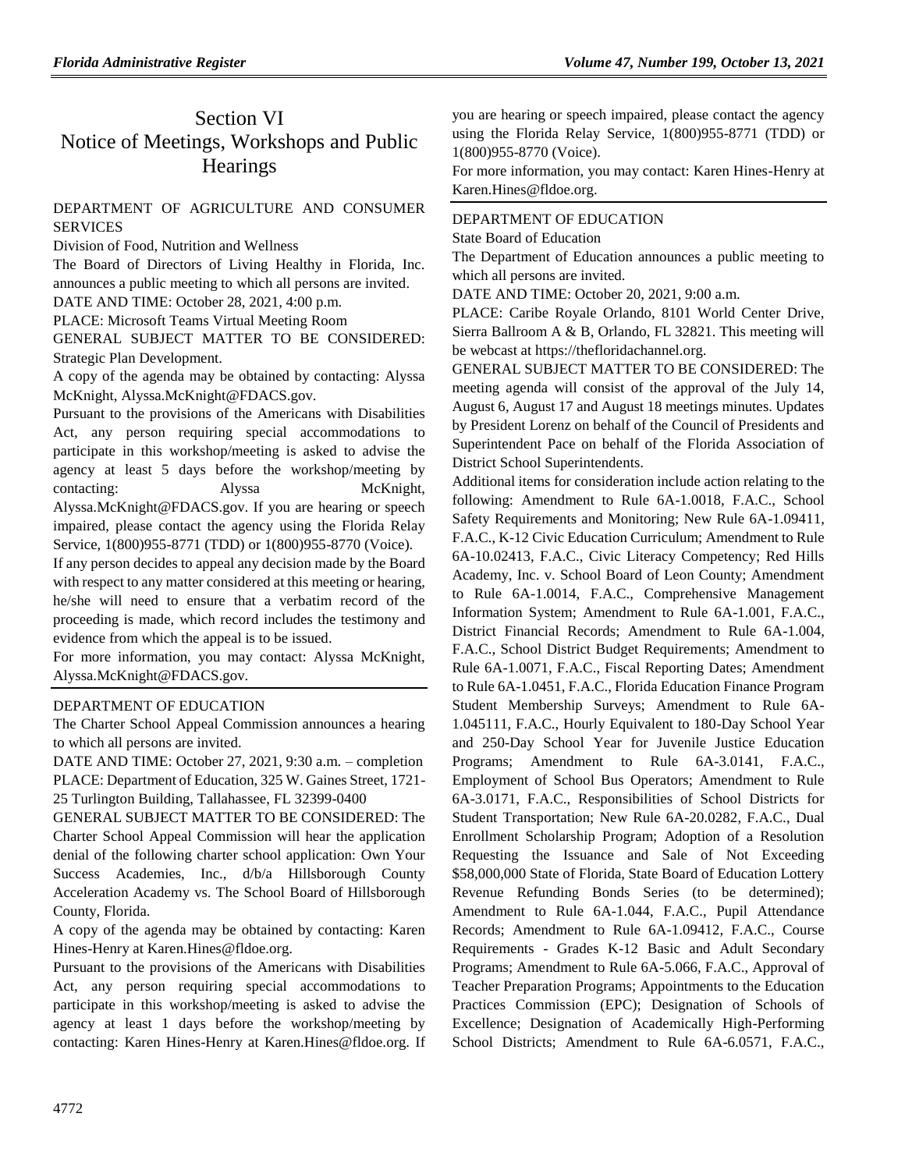# Section VI Notice of Meetings, Workshops and Public **Hearings**

## [DEPARTMENT OF AGRICULTURE AND CONSUMER](https://www.flrules.org/gateway/department.asp?id=5)  **[SERVICES](https://www.flrules.org/gateway/department.asp?id=5)**

[Division of Food, Nutrition and Wellness](https://www.flrules.org/gateway/organization.asp?id=1068)

The Board of Directors of Living Healthy in Florida, Inc. announces a public meeting to which all persons are invited.

DATE AND TIME: October 28, 2021, 4:00 p.m.

PLACE: Microsoft Teams Virtual Meeting Room

GENERAL SUBJECT MATTER TO BE CONSIDERED: Strategic Plan Development.

A copy of the agenda may be obtained by contacting: Alyssa McKnight, Alyssa.McKnight@FDACS.gov.

Pursuant to the provisions of the Americans with Disabilities Act, any person requiring special accommodations to participate in this workshop/meeting is asked to advise the agency at least 5 days before the workshop/meeting by contacting: Alyssa McKnight, Alyssa.McKnight@FDACS.gov. If you are hearing or speech impaired, please contact the agency using the Florida Relay Service, 1(800)955-8771 (TDD) or 1(800)955-8770 (Voice).

If any person decides to appeal any decision made by the Board with respect to any matter considered at this meeting or hearing, he/she will need to ensure that a verbatim record of the proceeding is made, which record includes the testimony and evidence from which the appeal is to be issued.

For more information, you may contact: Alyssa McKnight, Alyssa.McKnight@FDACS.gov.

#### [DEPARTMENT OF EDUCATION](https://www.flrules.org/gateway/department.asp?id=6)

The Charter School Appeal Commission announces a hearing to which all persons are invited.

DATE AND TIME: October 27, 2021, 9:30 a.m. – completion PLACE: Department of Education, 325 W. Gaines Street, 1721- 25 Turlington Building, Tallahassee, FL 32399-0400

GENERAL SUBJECT MATTER TO BE CONSIDERED: The Charter School Appeal Commission will hear the application denial of the following charter school application: Own Your Success Academies, Inc., d/b/a Hillsborough County Acceleration Academy vs. The School Board of Hillsborough County, Florida.

A copy of the agenda may be obtained by contacting: Karen Hines-Henry at Karen.Hines@fldoe.org.

Pursuant to the provisions of the Americans with Disabilities Act, any person requiring special accommodations to participate in this workshop/meeting is asked to advise the agency at least 1 days before the workshop/meeting by contacting: Karen Hines-Henry at Karen.Hines@fldoe.org. If you are hearing or speech impaired, please contact the agency using the Florida Relay Service, 1(800)955-8771 (TDD) or 1(800)955-8770 (Voice).

For more information, you may contact: Karen Hines-Henry at Karen.Hines@fldoe.org.

## [DEPARTMENT OF EDUCATION](https://www.flrules.org/gateway/department.asp?id=6)

[State Board of Education](https://www.flrules.org/gateway/organization.asp?id=195)

The Department of Education announces a public meeting to which all persons are invited.

DATE AND TIME: October 20, 2021, 9:00 a.m.

PLACE: Caribe Royale Orlando, 8101 World Center Drive, Sierra Ballroom A & B, Orlando, FL 32821. This meeting will be webcast at https://thefloridachannel.org.

GENERAL SUBJECT MATTER TO BE CONSIDERED: The meeting agenda will consist of the approval of the July 14, August 6, August 17 and August 18 meetings minutes. Updates by President Lorenz on behalf of the Council of Presidents and Superintendent Pace on behalf of the Florida Association of District School Superintendents.

Additional items for consideration include action relating to the following: Amendment to Rule 6A-1.0018, F.A.C., School Safety Requirements and Monitoring; New Rule 6A-1.09411, F.A.C., K-12 Civic Education Curriculum; Amendment to Rule 6A-10.02413, F.A.C., Civic Literacy Competency; Red Hills Academy, Inc. v. School Board of Leon County; Amendment to Rule 6A-1.0014, F.A.C., Comprehensive Management Information System; Amendment to Rule 6A-1.001, F.A.C., District Financial Records; Amendment to Rule 6A-1.004, F.A.C., School District Budget Requirements; Amendment to Rule 6A-1.0071, F.A.C., Fiscal Reporting Dates; Amendment to Rule 6A-1.0451, F.A.C., Florida Education Finance Program Student Membership Surveys; Amendment to Rule 6A-1.045111, F.A.C., Hourly Equivalent to 180-Day School Year and 250-Day School Year for Juvenile Justice Education Programs; Amendment to Rule 6A-3.0141, F.A.C., Employment of School Bus Operators; Amendment to Rule 6A-3.0171, F.A.C., Responsibilities of School Districts for Student Transportation; New Rule 6A-20.0282, F.A.C., Dual Enrollment Scholarship Program; Adoption of a Resolution Requesting the Issuance and Sale of Not Exceeding \$58,000,000 State of Florida, State Board of Education Lottery Revenue Refunding Bonds Series (to be determined); Amendment to Rule 6A-1.044, F.A.C., Pupil Attendance Records; Amendment to Rule 6A-1.09412, F.A.C., Course Requirements - Grades K-12 Basic and Adult Secondary Programs; Amendment to Rule 6A-5.066, F.A.C., Approval of Teacher Preparation Programs; Appointments to the Education Practices Commission (EPC); Designation of Schools of Excellence; Designation of Academically High-Performing School Districts; Amendment to Rule 6A-6.0571, F.A.C.,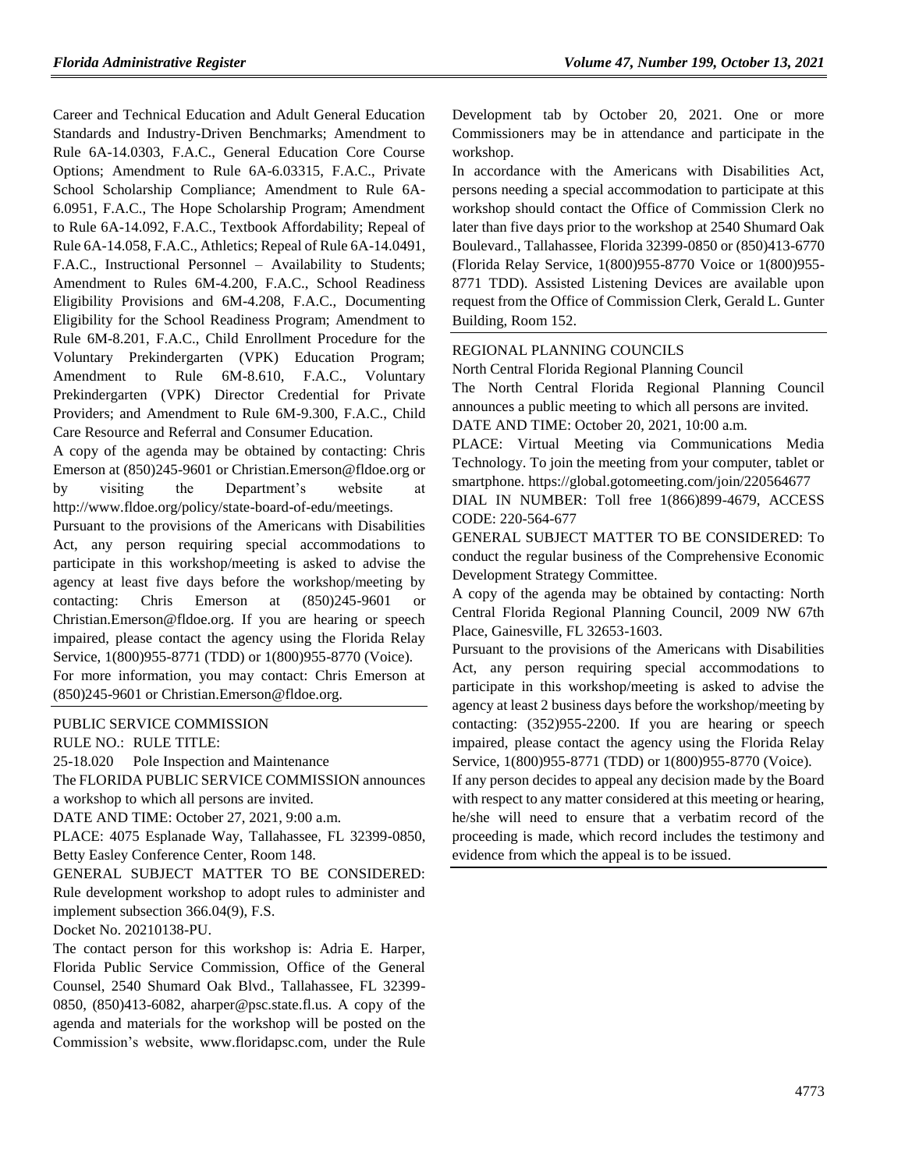Career and Technical Education and Adult General Education Standards and Industry-Driven Benchmarks; Amendment to Rule 6A-14.0303, F.A.C., General Education Core Course Options; Amendment to Rule 6A-6.03315, F.A.C., Private School Scholarship Compliance; Amendment to Rule 6A-6.0951, F.A.C., The Hope Scholarship Program; Amendment to Rule 6A-14.092, F.A.C., Textbook Affordability; Repeal of Rule 6A-14.058, F.A.C., Athletics; Repeal of Rule 6A-14.0491, F.A.C., Instructional Personnel – Availability to Students; Amendment to Rules 6M-4.200, F.A.C., School Readiness Eligibility Provisions and 6M-4.208, F.A.C., Documenting Eligibility for the School Readiness Program; Amendment to Rule 6M-8.201, F.A.C., Child Enrollment Procedure for the Voluntary Prekindergarten (VPK) Education Program; Amendment to Rule 6M-8.610, F.A.C., Voluntary Prekindergarten (VPK) Director Credential for Private Providers; and Amendment to Rule 6M-9.300, F.A.C., Child Care Resource and Referral and Consumer Education.

A copy of the agenda may be obtained by contacting: Chris Emerson at (850)245-9601 or Christian.Emerson@fldoe.org or by visiting the Department's website at http://www.fldoe.org/policy/state-board-of-edu/meetings.

Pursuant to the provisions of the Americans with Disabilities Act, any person requiring special accommodations to participate in this workshop/meeting is asked to advise the agency at least five days before the workshop/meeting by contacting: Chris Emerson at (850)245-9601 or Christian.Emerson@fldoe.org. If you are hearing or speech impaired, please contact the agency using the Florida Relay Service, 1(800)955-8771 (TDD) or 1(800)955-8770 (Voice). For more information, you may contact: Chris Emerson at (850)245-9601 or Christian.Emerson@fldoe.org.

#### [PUBLIC SERVICE COMMISSION](https://www.flrules.org/gateway/department.asp?id=25)

RULE NO.: RULE TITLE:

25-18.020 Pole Inspection and Maintenance

The FLORIDA PUBLIC SERVICE COMMISSION announces a workshop to which all persons are invited.

DATE AND TIME: October 27, 2021, 9:00 a.m.

PLACE: 4075 Esplanade Way, Tallahassee, FL 32399-0850, Betty Easley Conference Center, Room 148.

GENERAL SUBJECT MATTER TO BE CONSIDERED: Rule development workshop to adopt rules to administer and implement subsection 366.04(9), F.S.

Docket No. 20210138-PU.

The contact person for this workshop is: Adria E. Harper, Florida Public Service Commission, Office of the General Counsel, 2540 Shumard Oak Blvd., Tallahassee, FL 32399- 0850, (850)413-6082, aharper@psc.state.fl.us. A copy of the agenda and materials for the workshop will be posted on the Commission's website, [www.floridapsc.com,](http://www.floridapsc.com/) under the Rule

Development tab by October 20, 2021. One or more Commissioners may be in attendance and participate in the workshop.

In accordance with the Americans with Disabilities Act, persons needing a special accommodation to participate at this workshop should contact the Office of Commission Clerk no later than five days prior to the workshop at 2540 Shumard Oak Boulevard., Tallahassee, Florida 32399-0850 or (850)413-6770 (Florida Relay Service, 1(800)955-8770 Voice or 1(800)955- 8771 TDD). Assisted Listening Devices are available upon request from the Office of Commission Clerk, Gerald L. Gunter Building, Room 152.

#### [REGIONAL PLANNING COUNCILS](https://www.flrules.org/gateway/department.asp?id=29)

[North Central Florida Regional Planning Council](https://www.flrules.org/gateway/organization.asp?id=59)

The North Central Florida Regional Planning Council announces a public meeting to which all persons are invited.

DATE AND TIME: October 20, 2021, 10:00 a.m.

PLACE: Virtual Meeting via Communications Media Technology. To join the meeting from your computer, tablet or smartphone. https://global.gotomeeting.com/join/220564677

DIAL IN NUMBER: Toll free 1(866)899-4679, ACCESS CODE: 220-564-677

GENERAL SUBJECT MATTER TO BE CONSIDERED: To conduct the regular business of the Comprehensive Economic Development Strategy Committee.

A copy of the agenda may be obtained by contacting: North Central Florida Regional Planning Council, 2009 NW 67th Place, Gainesville, FL 32653-1603.

Pursuant to the provisions of the Americans with Disabilities Act, any person requiring special accommodations to participate in this workshop/meeting is asked to advise the agency at least 2 business days before the workshop/meeting by contacting: (352)955-2200. If you are hearing or speech impaired, please contact the agency using the Florida Relay Service, 1(800)955-8771 (TDD) or 1(800)955-8770 (Voice).

If any person decides to appeal any decision made by the Board with respect to any matter considered at this meeting or hearing, he/she will need to ensure that a verbatim record of the proceeding is made, which record includes the testimony and evidence from which the appeal is to be issued.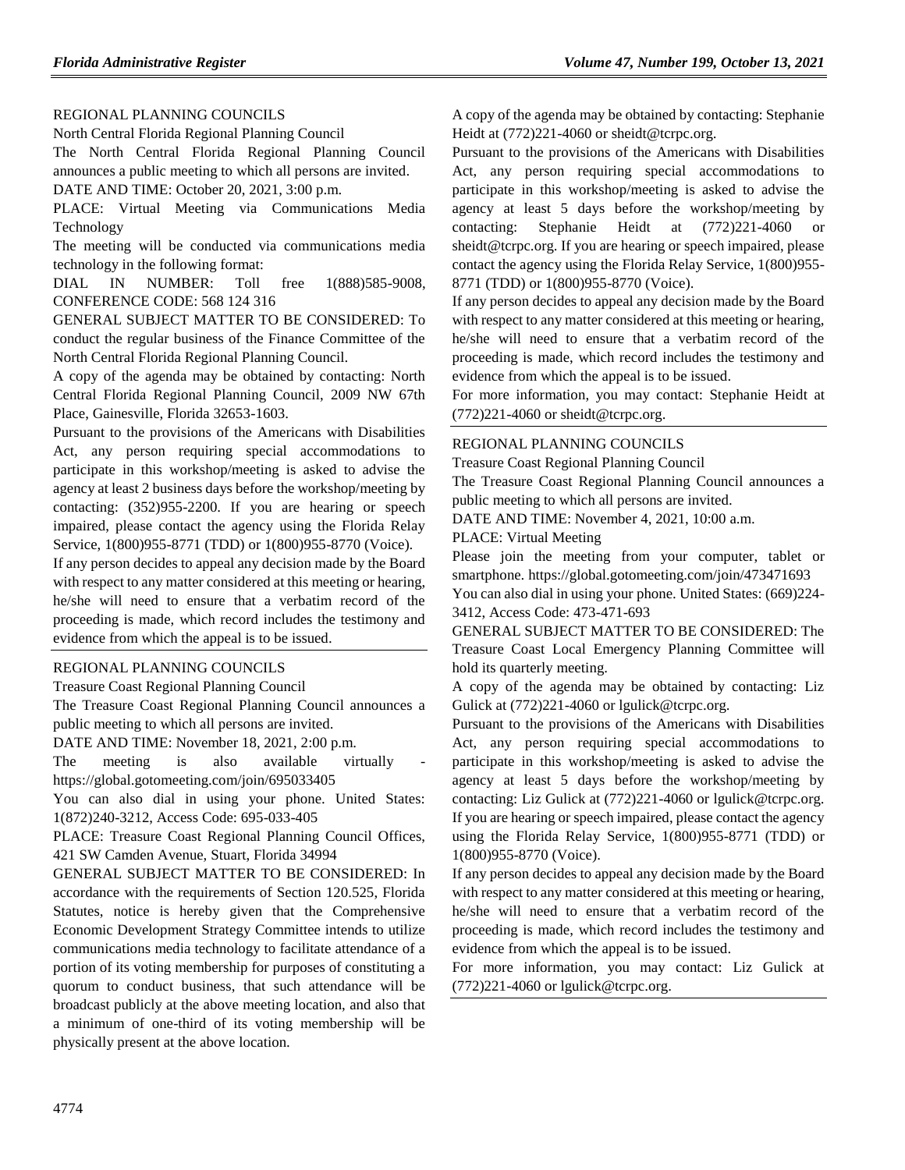#### [REGIONAL PLANNING COUNCILS](https://www.flrules.org/gateway/department.asp?id=29)

[North Central Florida Regional Planning Council](https://www.flrules.org/gateway/organization.asp?id=59)

The North Central Florida Regional Planning Council announces a public meeting to which all persons are invited. DATE AND TIME: October 20, 2021, 3:00 p.m.

PLACE: Virtual Meeting via Communications Media Technology

The meeting will be conducted via communications media technology in the following format:

DIAL IN NUMBER: Toll free 1(888)585-9008, CONFERENCE CODE: 568 124 316

GENERAL SUBJECT MATTER TO BE CONSIDERED: To conduct the regular business of the Finance Committee of the North Central Florida Regional Planning Council.

A copy of the agenda may be obtained by contacting: North Central Florida Regional Planning Council, 2009 NW 67th Place, Gainesville, Florida 32653-1603.

Pursuant to the provisions of the Americans with Disabilities Act, any person requiring special accommodations to participate in this workshop/meeting is asked to advise the agency at least 2 business days before the workshop/meeting by contacting: (352)955-2200. If you are hearing or speech impaired, please contact the agency using the Florida Relay Service, 1(800)955-8771 (TDD) or 1(800)955-8770 (Voice).

If any person decides to appeal any decision made by the Board with respect to any matter considered at this meeting or hearing, he/she will need to ensure that a verbatim record of the proceeding is made, which record includes the testimony and evidence from which the appeal is to be issued.

#### [REGIONAL PLANNING COUNCILS](https://www.flrules.org/gateway/department.asp?id=29)

[Treasure Coast Regional Planning Council](https://www.flrules.org/gateway/organization.asp?id=67)

The Treasure Coast Regional Planning Council announces a public meeting to which all persons are invited.

DATE AND TIME: November 18, 2021, 2:00 p.m.

The meeting is also available virtually https://global.gotomeeting.com/join/695033405

You can also dial in using your phone. United States: 1(872)240-3212, Access Code: 695-033-405

PLACE: Treasure Coast Regional Planning Council Offices, 421 SW Camden Avenue, Stuart, Florida 34994

GENERAL SUBJECT MATTER TO BE CONSIDERED: In accordance with the requirements of Section 120.525, Florida Statutes, notice is hereby given that the Comprehensive Economic Development Strategy Committee intends to utilize communications media technology to facilitate attendance of a portion of its voting membership for purposes of constituting a quorum to conduct business, that such attendance will be broadcast publicly at the above meeting location, and also that a minimum of one-third of its voting membership will be physically present at the above location.

A copy of the agenda may be obtained by contacting: Stephanie Heidt at (772)221-4060 or sheidt@tcrpc.org.

Pursuant to the provisions of the Americans with Disabilities Act, any person requiring special accommodations to participate in this workshop/meeting is asked to advise the agency at least 5 days before the workshop/meeting by contacting: Stephanie Heidt at (772)221-4060 or sheidt@tcrpc.org. If you are hearing or speech impaired, please contact the agency using the Florida Relay Service, 1(800)955- 8771 (TDD) or 1(800)955-8770 (Voice).

If any person decides to appeal any decision made by the Board with respect to any matter considered at this meeting or hearing, he/she will need to ensure that a verbatim record of the proceeding is made, which record includes the testimony and evidence from which the appeal is to be issued.

For more information, you may contact: Stephanie Heidt at (772)221-4060 or sheidt@tcrpc.org.

#### [REGIONAL PLANNING COUNCILS](https://www.flrules.org/gateway/department.asp?id=29)

[Treasure Coast Regional Planning Council](https://www.flrules.org/gateway/organization.asp?id=67)

The Treasure Coast Regional Planning Council announces a public meeting to which all persons are invited.

DATE AND TIME: November 4, 2021, 10:00 a.m.

PLACE: Virtual Meeting

Please join the meeting from your computer, tablet or smartphone. https://global.gotomeeting.com/join/473471693

You can also dial in using your phone. United States: (669)224- 3412, Access Code: 473-471-693

GENERAL SUBJECT MATTER TO BE CONSIDERED: The Treasure Coast Local Emergency Planning Committee will hold its quarterly meeting.

A copy of the agenda may be obtained by contacting: Liz Gulick at (772)221-4060 or lgulick@tcrpc.org.

Pursuant to the provisions of the Americans with Disabilities Act, any person requiring special accommodations to participate in this workshop/meeting is asked to advise the agency at least 5 days before the workshop/meeting by contacting: Liz Gulick at (772)221-4060 or lgulick@tcrpc.org. If you are hearing or speech impaired, please contact the agency using the Florida Relay Service, 1(800)955-8771 (TDD) or 1(800)955-8770 (Voice).

If any person decides to appeal any decision made by the Board with respect to any matter considered at this meeting or hearing, he/she will need to ensure that a verbatim record of the proceeding is made, which record includes the testimony and evidence from which the appeal is to be issued.

For more information, you may contact: Liz Gulick at (772)221-4060 or lgulick@tcrpc.org.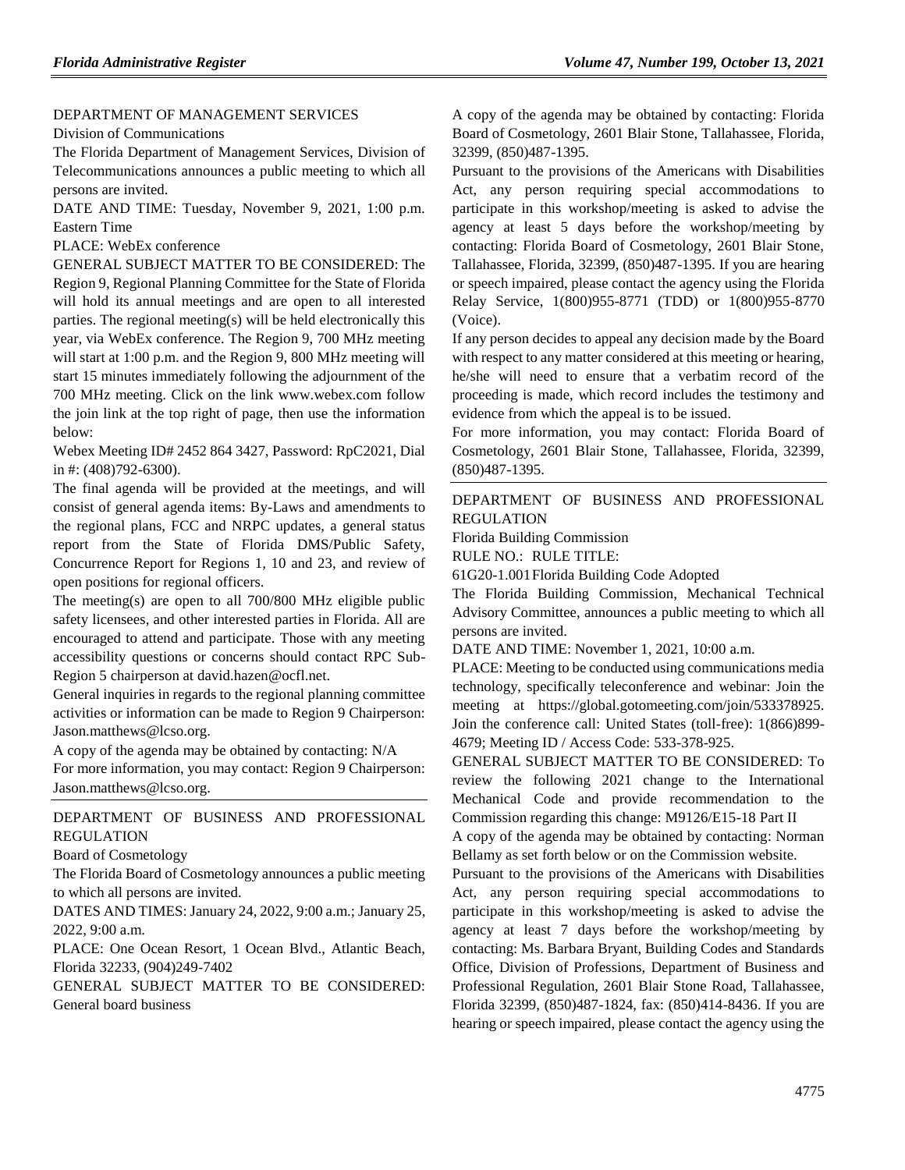### [DEPARTMENT OF MANAGEMENT SERVICES](https://www.flrules.org/gateway/department.asp?id=60)

[Division of Communications](https://www.flrules.org/gateway/organization.asp?id=224)

The Florida Department of Management Services, Division of Telecommunications announces a public meeting to which all persons are invited.

DATE AND TIME: Tuesday, November 9, 2021, 1:00 p.m. Eastern Time

PLACE: WebEx conference

GENERAL SUBJECT MATTER TO BE CONSIDERED: The Region 9, Regional Planning Committee for the State of Florida will hold its annual meetings and are open to all interested parties. The regional meeting(s) will be held electronically this year, via WebEx conference. The Region 9, 700 MHz meeting will start at 1:00 p.m. and the Region 9, 800 MHz meeting will start 15 minutes immediately following the adjournment of the 700 MHz meeting. Click on the link www.webex.com follow the join link at the top right of page, then use the information below:

Webex Meeting ID# 2452 864 3427, Password: RpC2021, Dial in #: (408)792-6300).

The final agenda will be provided at the meetings, and will consist of general agenda items: By-Laws and amendments to the regional plans, FCC and NRPC updates, a general status report from the State of Florida DMS/Public Safety, Concurrence Report for Regions 1, 10 and 23, and review of open positions for regional officers.

The meeting(s) are open to all 700/800 MHz eligible public safety licensees, and other interested parties in Florida. All are encouraged to attend and participate. Those with any meeting accessibility questions or concerns should contact RPC Sub-Region 5 chairperson at david.hazen@ocfl.net.

General inquiries in regards to the regional planning committee activities or information can be made to Region 9 Chairperson: Jason.matthews@lcso.org.

A copy of the agenda may be obtained by contacting: N/A For more information, you may contact: Region 9 Chairperson: Jason.matthews@lcso.org.

### [DEPARTMENT OF BUSINESS AND PROFESSIONAL](https://www.flrules.org/gateway/department.asp?id=61)  [REGULATION](https://www.flrules.org/gateway/department.asp?id=61)

[Board of Cosmetology](https://www.flrules.org/gateway/organization.asp?id=275)

The Florida Board of Cosmetology announces a public meeting to which all persons are invited.

DATES AND TIMES: January 24, 2022, 9:00 a.m.; January 25, 2022, 9:00 a.m.

PLACE: One Ocean Resort, 1 Ocean Blvd., Atlantic Beach, Florida 32233, (904)249-7402

GENERAL SUBJECT MATTER TO BE CONSIDERED: General board business

A copy of the agenda may be obtained by contacting: Florida Board of Cosmetology, 2601 Blair Stone, Tallahassee, Florida, 32399, (850)487-1395.

Pursuant to the provisions of the Americans with Disabilities Act, any person requiring special accommodations to participate in this workshop/meeting is asked to advise the agency at least 5 days before the workshop/meeting by contacting: Florida Board of Cosmetology, 2601 Blair Stone, Tallahassee, Florida, 32399, (850)487-1395. If you are hearing or speech impaired, please contact the agency using the Florida Relay Service, 1(800)955-8771 (TDD) or 1(800)955-8770 (Voice).

If any person decides to appeal any decision made by the Board with respect to any matter considered at this meeting or hearing, he/she will need to ensure that a verbatim record of the proceeding is made, which record includes the testimony and evidence from which the appeal is to be issued.

For more information, you may contact: Florida Board of Cosmetology, 2601 Blair Stone, Tallahassee, Florida, 32399, (850)487-1395.

### [DEPARTMENT OF BUSINESS AND PROFESSIONAL](https://www.flrules.org/gateway/department.asp?id=61)  [REGULATION](https://www.flrules.org/gateway/department.asp?id=61)

[Florida Building Commission](https://www.flrules.org/gateway/organization.asp?id=1071)

RULE NO.: RULE TITLE:

[61G20-1.001F](https://www.flrules.org/gateway/ruleNo.asp?id=61G20-1.001)lorida Building Code Adopted

The Florida Building Commission, Mechanical Technical Advisory Committee, announces a public meeting to which all persons are invited.

DATE AND TIME: November 1, 2021, 10:00 a.m.

PLACE: Meeting to be conducted using communications media technology, specifically teleconference and webinar: Join the meeting at https://global.gotomeeting.com/join/533378925. Join the conference call: United States (toll-free): 1(866)899- 4679; Meeting ID / Access Code: 533-378-925.

GENERAL SUBJECT MATTER TO BE CONSIDERED: To review the following 2021 change to the International Mechanical Code and provide recommendation to the Commission regarding this change: M9126/E15-18 Part II

A copy of the agenda may be obtained by contacting: Norman Bellamy as set forth below or on the Commission website.

Pursuant to the provisions of the Americans with Disabilities Act, any person requiring special accommodations to participate in this workshop/meeting is asked to advise the agency at least 7 days before the workshop/meeting by contacting: Ms. Barbara Bryant, Building Codes and Standards Office, Division of Professions, Department of Business and Professional Regulation, 2601 Blair Stone Road, Tallahassee, Florida 32399, (850)487-1824, fax: (850)414-8436. If you are hearing or speech impaired, please contact the agency using the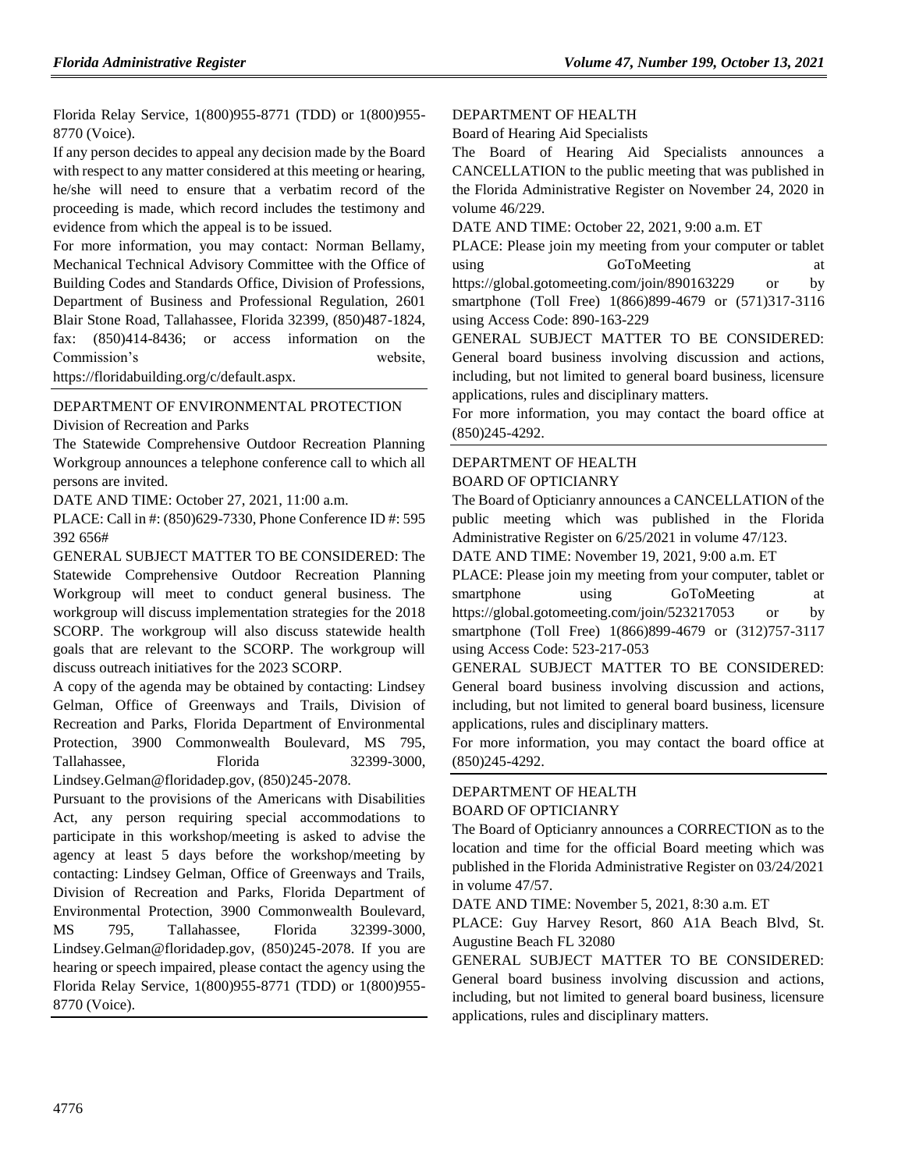Florida Relay Service, 1(800)955-8771 (TDD) or 1(800)955- 8770 (Voice).

If any person decides to appeal any decision made by the Board with respect to any matter considered at this meeting or hearing, he/she will need to ensure that a verbatim record of the proceeding is made, which record includes the testimony and evidence from which the appeal is to be issued.

For more information, you may contact: Norman Bellamy, Mechanical Technical Advisory Committee with the Office of Building Codes and Standards Office, Division of Professions, Department of Business and Professional Regulation, 2601 Blair Stone Road, Tallahassee, Florida 32399, (850)487-1824, fax: (850)414-8436; or access information on the Commission's website,

https://floridabuilding.org/c/default.aspx.

### [DEPARTMENT OF ENVIRONMENTAL PROTECTION](https://www.flrules.org/gateway/department.asp?id=62)

[Division of Recreation and Parks](https://www.flrules.org/gateway/organization.asp?id=290)

The Statewide Comprehensive Outdoor Recreation Planning Workgroup announces a telephone conference call to which all persons are invited.

DATE AND TIME: October 27, 2021, 11:00 a.m.

PLACE: Call in #: (850)629-7330, Phone Conference ID #: 595 392 656#

GENERAL SUBJECT MATTER TO BE CONSIDERED: The Statewide Comprehensive Outdoor Recreation Planning Workgroup will meet to conduct general business. The workgroup will discuss implementation strategies for the 2018 SCORP. The workgroup will also discuss statewide health goals that are relevant to the SCORP. The workgroup will discuss outreach initiatives for the 2023 SCORP.

A copy of the agenda may be obtained by contacting: Lindsey Gelman, Office of Greenways and Trails, Division of Recreation and Parks, Florida Department of Environmental Protection, 3900 Commonwealth Boulevard, MS 795, Tallahassee. Florida 32399-3000, Lindsey.Gelman@floridadep.gov, (850)245-2078.

Pursuant to the provisions of the Americans with Disabilities Act, any person requiring special accommodations to participate in this workshop/meeting is asked to advise the agency at least 5 days before the workshop/meeting by contacting: Lindsey Gelman, Office of Greenways and Trails, Division of Recreation and Parks, Florida Department of Environmental Protection, 3900 Commonwealth Boulevard, MS 795, Tallahassee, Florida 32399-3000, Lindsey.Gelman@floridadep.gov, (850)245-2078. If you are hearing or speech impaired, please contact the agency using the Florida Relay Service, 1(800)955-8771 (TDD) or 1(800)955- 8770 (Voice).

#### [DEPARTMENT OF HEALTH](https://www.flrules.org/gateway/department.asp?id=64)

[Board of Hearing Aid Specialists](https://www.flrules.org/gateway/organization.asp?id=329)

The Board of Hearing Aid Specialists announces a CANCELLATION to the public meeting that was published in the Florida Administrative Register on November 24, 2020 in volume 46/229.

DATE AND TIME: October 22, 2021, 9:00 a.m. ET

PLACE: Please join my meeting from your computer or tablet using GoToMeeting at <https://global.gotomeeting.com/join/890163229> or by smartphone (Toll Free) 1(866)899-4679 or (571)317-3116 using Access Code: 890-163-229

GENERAL SUBJECT MATTER TO BE CONSIDERED: General board business involving discussion and actions, including, but not limited to general board business, licensure applications, rules and disciplinary matters.

For more information, you may contact the board office at (850)245-4292.

### [DEPARTMENT OF HEALTH](https://www.flrules.org/gateway/department.asp?id=64) BOARD OF OPTICIANRY

The Board of Opticianry announces a CANCELLATION of the public meeting which was published in the Florida Administrative Register on 6/25/2021 in volume 47/123.

DATE AND TIME: November 19, 2021, 9:00 a.m. ET

PLACE: Please join my meeting from your computer, tablet or smartphone using GoToMeeting at <https://global.gotomeeting.com/join/523217053> or by smartphone (Toll Free) 1(866)899-4679 or (312)757-3117 using Access Code: 523-217-053

GENERAL SUBJECT MATTER TO BE CONSIDERED: General board business involving discussion and actions, including, but not limited to general board business, licensure applications, rules and disciplinary matters.

For more information, you may contact the board office at (850)245-4292.

### [DEPARTMENT OF HEALTH](https://www.flrules.org/gateway/department.asp?id=64) BOARD OF OPTICIANRY

The Board of Opticianry announces a CORRECTION as to the location and time for the official Board meeting which was published in the Florida Administrative Register on 03/24/2021 in volume 47/57.

DATE AND TIME: November 5, 2021, 8:30 a.m. ET

PLACE: Guy Harvey Resort, 860 A1A Beach Blvd, St. Augustine Beach FL 32080

GENERAL SUBJECT MATTER TO BE CONSIDERED: General board business involving discussion and actions, including, but not limited to general board business, licensure applications, rules and disciplinary matters.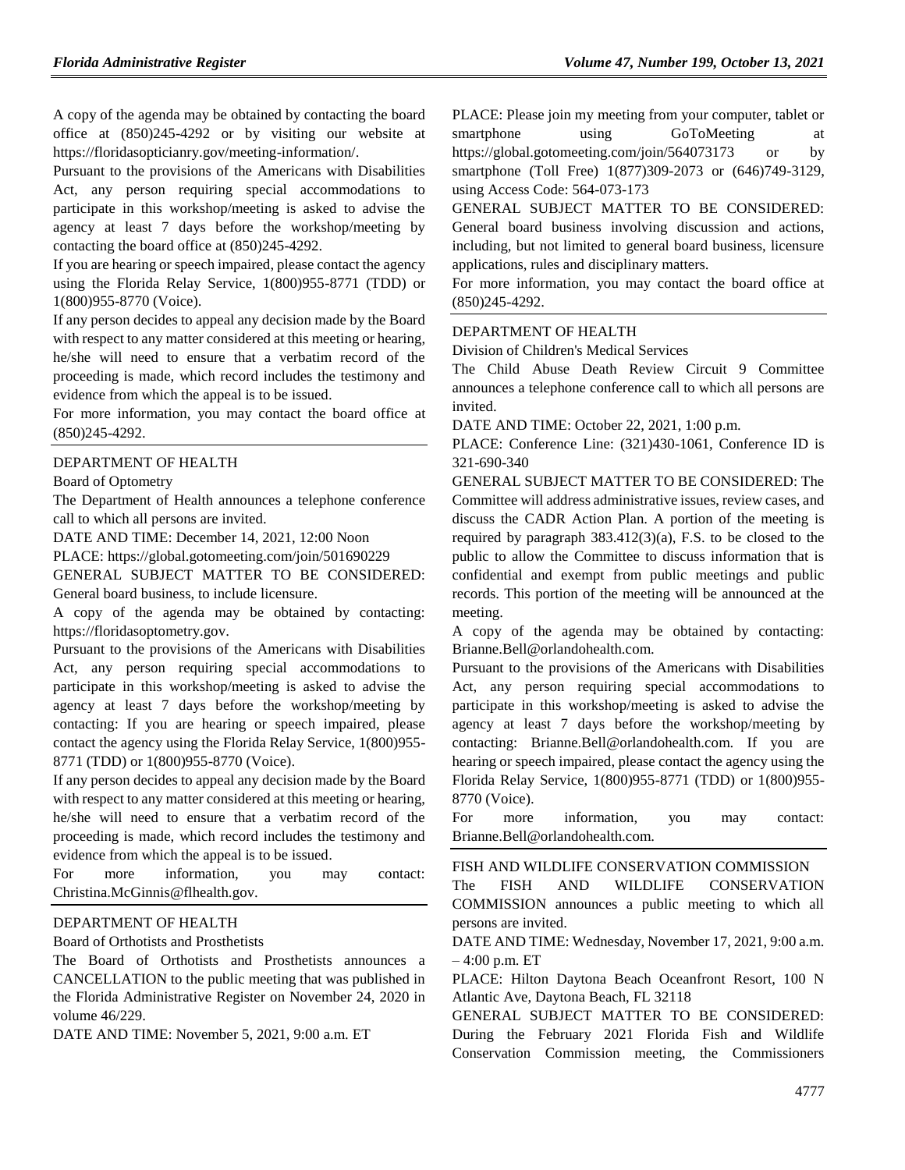A copy of the agenda may be obtained by contacting the board office at (850)245-4292 or by visiting our website at [https://floridasopticianry.gov/meeting-information/.](https://floridasopticianry.gov/meeting-information/)

Pursuant to the provisions of the Americans with Disabilities Act, any person requiring special accommodations to participate in this workshop/meeting is asked to advise the agency at least 7 days before the workshop/meeting by contacting the board office at (850)245-4292.

If you are hearing or speech impaired, please contact the agency using the Florida Relay Service, 1(800)955-8771 (TDD) or 1(800)955-8770 (Voice).

If any person decides to appeal any decision made by the Board with respect to any matter considered at this meeting or hearing, he/she will need to ensure that a verbatim record of the proceeding is made, which record includes the testimony and evidence from which the appeal is to be issued.

For more information, you may contact the board office at (850)245-4292.

#### [DEPARTMENT OF HEALTH](https://www.flrules.org/gateway/department.asp?id=64)

#### [Board of Optometry](https://www.flrules.org/gateway/organization.asp?id=304)

The Department of Health announces a telephone conference call to which all persons are invited.

DATE AND TIME: December 14, 2021, 12:00 Noon

PLACE: https://global.gotomeeting.com/join/501690229

GENERAL SUBJECT MATTER TO BE CONSIDERED: General board business, to include licensure.

A copy of the agenda may be obtained by contacting: https://floridasoptometry.gov.

Pursuant to the provisions of the Americans with Disabilities Act, any person requiring special accommodations to participate in this workshop/meeting is asked to advise the agency at least 7 days before the workshop/meeting by contacting: If you are hearing or speech impaired, please contact the agency using the Florida Relay Service, 1(800)955- 8771 (TDD) or 1(800)955-8770 (Voice).

If any person decides to appeal any decision made by the Board with respect to any matter considered at this meeting or hearing, he/she will need to ensure that a verbatim record of the proceeding is made, which record includes the testimony and evidence from which the appeal is to be issued.

For more information, you may contact: Christina.McGinnis@flhealth.gov.

#### [DEPARTMENT OF HEALTH](https://www.flrules.org/gateway/department.asp?id=64)

[Board of Orthotists and Prosthetists](https://www.flrules.org/gateway/organization.asp?id=305)

The Board of Orthotists and Prosthetists announces a CANCELLATION to the public meeting that was published in the Florida Administrative Register on November 24, 2020 in volume 46/229.

DATE AND TIME: November 5, 2021, 9:00 a.m. ET

PLACE: Please join my meeting from your computer, tablet or smartphone using GoToMeeting at <https://global.gotomeeting.com/join/564073173> or by smartphone (Toll Free) 1(877)309-2073 or (646)749-3129, using Access Code: 564-073-173

GENERAL SUBJECT MATTER TO BE CONSIDERED: General board business involving discussion and actions, including, but not limited to general board business, licensure applications, rules and disciplinary matters.

For more information, you may contact the board office at (850)245-4292.

#### [DEPARTMENT OF HEALTH](https://www.flrules.org/gateway/department.asp?id=64)

[Division of Children's Medical Services](https://www.flrules.org/gateway/organization.asp?id=333)

The Child Abuse Death Review Circuit 9 Committee announces a telephone conference call to which all persons are invited.

DATE AND TIME: October 22, 2021, 1:00 p.m.

PLACE: Conference Line: (321)430-1061, Conference ID is 321-690-340

GENERAL SUBJECT MATTER TO BE CONSIDERED: The Committee will address administrative issues, review cases, and discuss the CADR Action Plan. A portion of the meeting is required by paragraph 383.412(3)(a), F.S. to be closed to the public to allow the Committee to discuss information that is confidential and exempt from public meetings and public records. This portion of the meeting will be announced at the meeting.

A copy of the agenda may be obtained by contacting: Brianne.Bell@orlandohealth.com.

Pursuant to the provisions of the Americans with Disabilities Act, any person requiring special accommodations to participate in this workshop/meeting is asked to advise the agency at least 7 days before the workshop/meeting by contacting: Brianne.Bell@orlandohealth.com. If you are hearing or speech impaired, please contact the agency using the Florida Relay Service, 1(800)955-8771 (TDD) or 1(800)955- 8770 (Voice).

For more information, you may contact: Brianne.Bell@orlandohealth.com.

[FISH AND WILDLIFE CONSERVATION COMMISSION](https://www.flrules.org/gateway/department.asp?id=68)

The FISH AND WILDLIFE CONSERVATION COMMISSION announces a public meeting to which all persons are invited.

DATE AND TIME: Wednesday, November 17, 2021, 9:00 a.m. – 4:00 p.m. ET

PLACE: Hilton Daytona Beach Oceanfront Resort, 100 N Atlantic Ave, Daytona Beach, FL 32118

GENERAL SUBJECT MATTER TO BE CONSIDERED: During the February 2021 Florida Fish and Wildlife Conservation Commission meeting, the Commissioners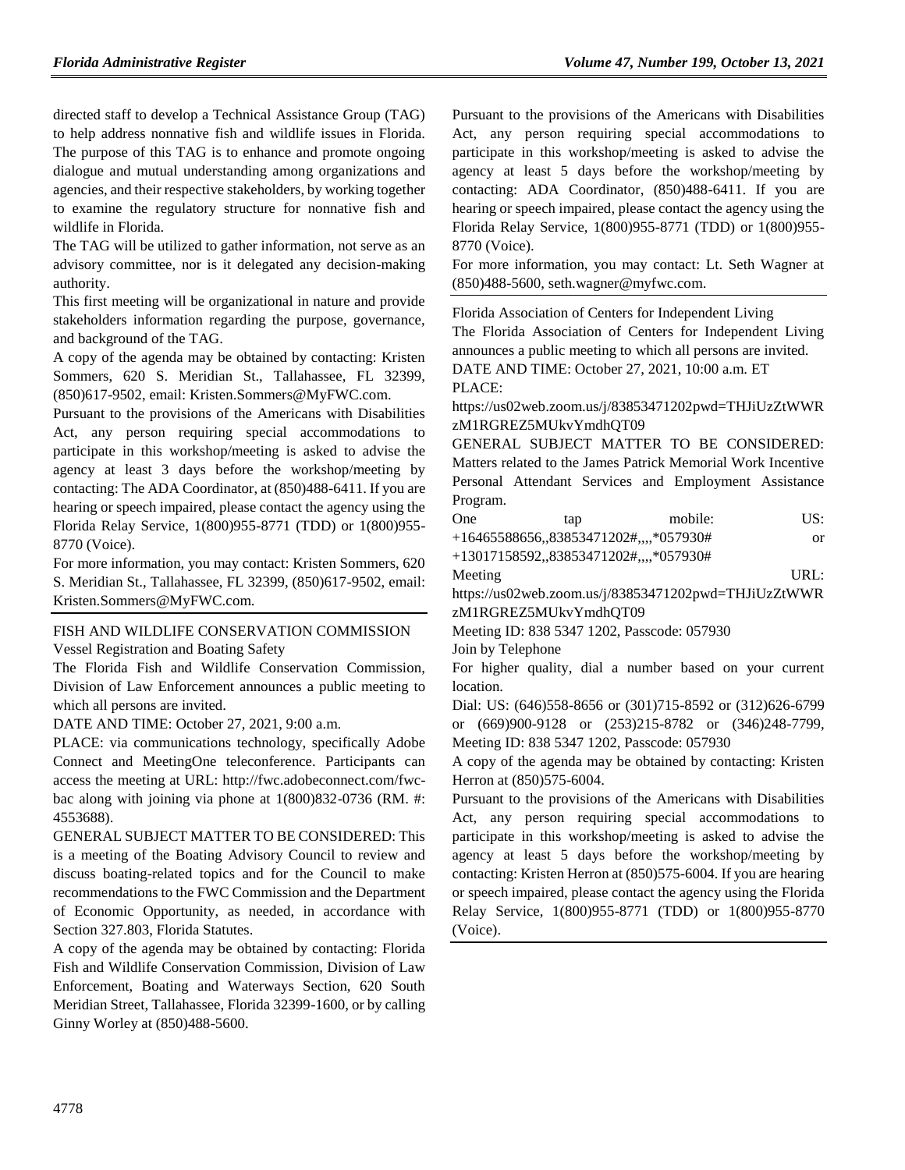directed staff to develop a Technical Assistance Group (TAG) to help address nonnative fish and wildlife issues in Florida. The purpose of this TAG is to enhance and promote ongoing dialogue and mutual understanding among organizations and agencies, and their respective stakeholders, by working together to examine the regulatory structure for nonnative fish and wildlife in Florida.

The TAG will be utilized to gather information, not serve as an advisory committee, nor is it delegated any decision-making authority.

This first meeting will be organizational in nature and provide stakeholders information regarding the purpose, governance, and background of the TAG.

A copy of the agenda may be obtained by contacting: Kristen Sommers, 620 S. Meridian St., Tallahassee, FL 32399, (850)617-9502, email: Kristen.Sommers@MyFWC.com.

Pursuant to the provisions of the Americans with Disabilities Act, any person requiring special accommodations to participate in this workshop/meeting is asked to advise the agency at least 3 days before the workshop/meeting by contacting: The ADA Coordinator, at (850)488-6411. If you are hearing or speech impaired, please contact the agency using the Florida Relay Service, 1(800)955-8771 (TDD) or 1(800)955- 8770 (Voice).

For more information, you may contact: Kristen Sommers, 620 S. Meridian St., Tallahassee, FL 32399, (850)617-9502, email: Kristen.Sommers@MyFWC.com.

#### [FISH AND WILDLIFE CONSERVATION COMMISSION](https://www.flrules.org/gateway/department.asp?id=68) [Vessel Registration and Boating Safety](https://www.flrules.org/gateway/organization.asp?id=350)

The Florida Fish and Wildlife Conservation Commission, Division of Law Enforcement announces a public meeting to which all persons are invited.

DATE AND TIME: October 27, 2021, 9:00 a.m.

PLACE: via communications technology, specifically Adobe Connect and MeetingOne teleconference. Participants can access the meeting at URL: http://fwc.adobeconnect.com/fwcbac along with joining via phone at 1(800)832-0736 (RM. #: 4553688).

GENERAL SUBJECT MATTER TO BE CONSIDERED: This is a meeting of the Boating Advisory Council to review and discuss boating-related topics and for the Council to make recommendations to the FWC Commission and the Department of Economic Opportunity, as needed, in accordance with Section 327.803, Florida Statutes.

A copy of the agenda may be obtained by contacting: Florida Fish and Wildlife Conservation Commission, Division of Law Enforcement, Boating and Waterways Section, 620 South Meridian Street, Tallahassee, Florida 32399-1600, or by calling Ginny Worley at (850)488-5600.

Pursuant to the provisions of the Americans with Disabilities Act, any person requiring special accommodations to participate in this workshop/meeting is asked to advise the agency at least 5 days before the workshop/meeting by contacting: ADA Coordinator, (850)488-6411. If you are hearing or speech impaired, please contact the agency using the Florida Relay Service, 1(800)955-8771 (TDD) or 1(800)955- 8770 (Voice).

For more information, you may contact: Lt. Seth Wagner at (850)488-5600, seth.wagner@myfwc.com.

[Florida Association of Centers for Independent Living](https://www.flrules.org/gateway/organization.asp?id=944)

The Florida Association of Centers for Independent Living announces a public meeting to which all persons are invited. DATE AND TIME: October 27, 2021, 10:00 a.m. ET

PLACE:

https://us02web.zoom.us/j/83853471202pwd=THJiUzZtWWR zM1RGREZ5MUkvYmdhQT09

GENERAL SUBJECT MATTER TO BE CONSIDERED: Matters related to the James Patrick Memorial Work Incentive Personal Attendant Services and Employment Assistance Program.

| <b>One</b> | tap                                                          | mobile: | US:  |
|------------|--------------------------------------------------------------|---------|------|
|            | $+16465588656 \ldots 83853471202 \# \ldots$ *057930#         |         | Or.  |
|            | $+13017158592 \ldots 83853471202 \# \ldots \times 057930 \#$ |         |      |
| Meeting    |                                                              |         | URL: |
|            | https://us02web.zoom.us/j/83853471202pwd=THJiUzZtWWR         |         |      |

zM1RGREZ5MUkvYmdhQT09

Meeting ID: 838 5347 1202, Passcode: 057930

Join by Telephone

For higher quality, dial a number based on your current location.

Dial: US: (646)558-8656 or (301)715-8592 or (312)626-6799 or (669)900-9128 or (253)215-8782 or (346)248-7799, Meeting ID: 838 5347 1202, Passcode: 057930

A copy of the agenda may be obtained by contacting: Kristen Herron at (850)575-6004.

Pursuant to the provisions of the Americans with Disabilities Act, any person requiring special accommodations to participate in this workshop/meeting is asked to advise the agency at least 5 days before the workshop/meeting by contacting: Kristen Herron at (850)575-6004. If you are hearing or speech impaired, please contact the agency using the Florida Relay Service, 1(800)955-8771 (TDD) or 1(800)955-8770 (Voice).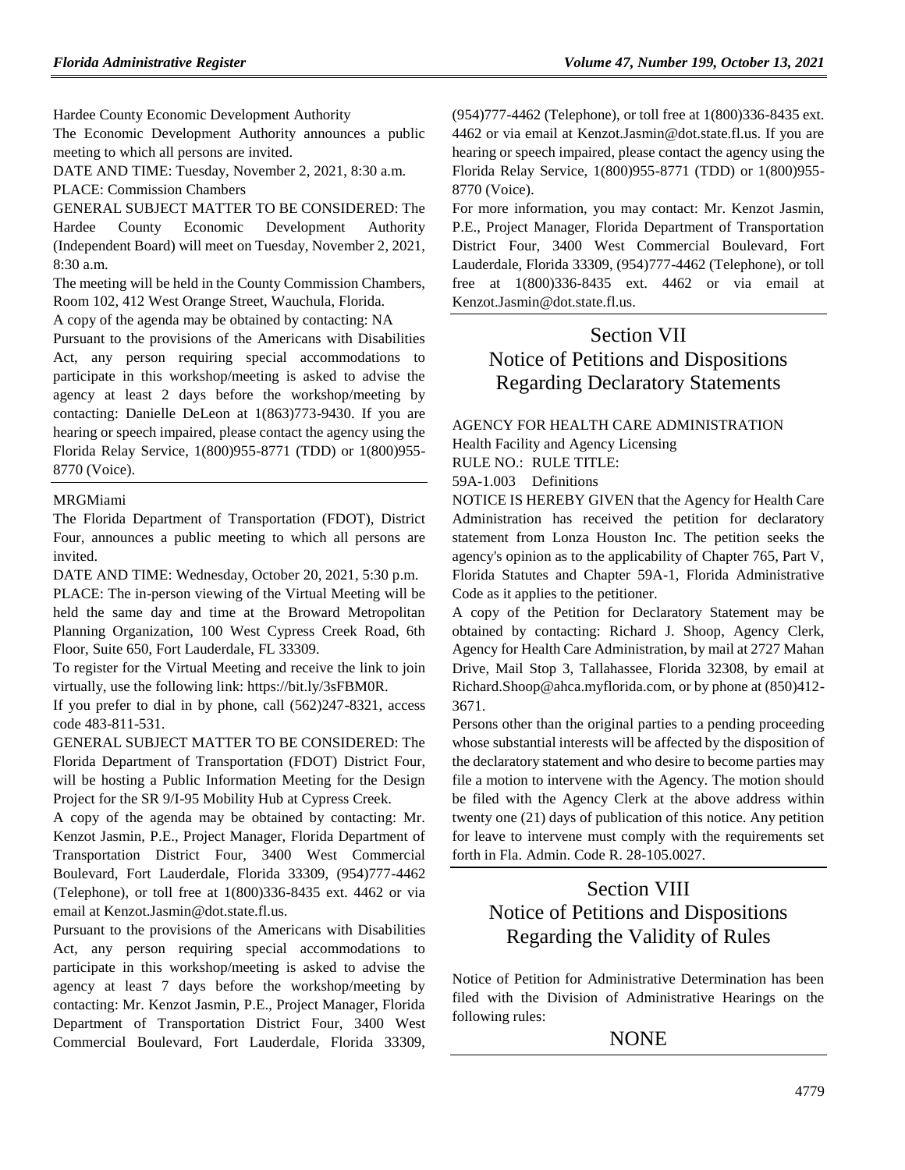[Hardee County Economic Development Authority](https://www.flrules.org/gateway/organization.asp?id=810)

The Economic Development Authority announces a public meeting to which all persons are invited.

DATE AND TIME: Tuesday, November 2, 2021, 8:30 a.m. PLACE: Commission Chambers

GENERAL SUBJECT MATTER TO BE CONSIDERED: The Hardee County Economic Development Authority (Independent Board) will meet on Tuesday, November 2, 2021, 8:30 a.m.

The meeting will be held in the County Commission Chambers, Room 102, 412 West Orange Street, Wauchula, Florida.

A copy of the agenda may be obtained by contacting: NA

Pursuant to the provisions of the Americans with Disabilities Act, any person requiring special accommodations to participate in this workshop/meeting is asked to advise the agency at least 2 days before the workshop/meeting by contacting: Danielle DeLeon at 1(863)773-9430. If you are hearing or speech impaired, please contact the agency using the Florida Relay Service, 1(800)955-8771 (TDD) or 1(800)955- 8770 (Voice).

#### [MRGMiami](https://www.flrules.org/gateway/organization.asp?id=981)

The Florida Department of Transportation (FDOT), District Four, announces a public meeting to which all persons are invited.

DATE AND TIME: Wednesday, October 20, 2021, 5:30 p.m.

PLACE: The in-person viewing of the Virtual Meeting will be held the same day and time at the Broward Metropolitan Planning Organization, 100 West Cypress Creek Road, 6th Floor, Suite 650, Fort Lauderdale, FL 33309.

To register for the Virtual Meeting and receive the link to join virtually, use the following link: https://bit.ly/3sFBM0R.

If you prefer to dial in by phone, call (562)247-8321, access code 483-811-531.

GENERAL SUBJECT MATTER TO BE CONSIDERED: The Florida Department of Transportation (FDOT) District Four, will be hosting a Public Information Meeting for the Design Project for the SR 9/I-95 Mobility Hub at Cypress Creek.

A copy of the agenda may be obtained by contacting: Mr. Kenzot Jasmin, P.E., Project Manager, Florida Department of Transportation District Four, 3400 West Commercial Boulevard, Fort Lauderdale, Florida 33309, (954)777-4462 (Telephone), or toll free at 1(800)336-8435 ext. 4462 or via email at Kenzot.Jasmin@dot.state.fl.us.

Pursuant to the provisions of the Americans with Disabilities Act, any person requiring special accommodations to participate in this workshop/meeting is asked to advise the agency at least 7 days before the workshop/meeting by contacting: Mr. Kenzot Jasmin, P.E., Project Manager, Florida Department of Transportation District Four, 3400 West Commercial Boulevard, Fort Lauderdale, Florida 33309,

(954)777-4462 (Telephone), or toll free at 1(800)336-8435 ext. 4462 or via email at Kenzot.Jasmin@dot.state.fl.us. If you are hearing or speech impaired, please contact the agency using the Florida Relay Service, 1(800)955-8771 (TDD) or 1(800)955- 8770 (Voice).

For more information, you may contact: Mr. Kenzot Jasmin, P.E., Project Manager, Florida Department of Transportation District Four, 3400 West Commercial Boulevard, Fort Lauderdale, Florida 33309, (954)777-4462 (Telephone), or toll free at 1(800)336-8435 ext. 4462 or via email at Kenzot.Jasmin@dot.state.fl.us.

# Section VII Notice of Petitions and Dispositions Regarding Declaratory Statements

[AGENCY FOR HEALTH CARE ADMINISTRATION](https://www.flrules.org/gateway/department.asp?id=59) [Health Facility and Agency Licensing](https://www.flrules.org/gateway/organization.asp?id=186) RULE NO.: RULE TITLE:

[59A-1.003](https://www.flrules.org/gateway/ruleNo.asp?id=59A-1.003) Definitions

NOTICE IS HEREBY GIVEN that the Agency for Health Care Administration has received the petition for declaratory statement from Lonza Houston Inc. The petition seeks the agency's opinion as to the applicability of Chapter 765, Part V, Florida Statutes and Chapter 59A-1, Florida Administrative Code as it applies to the petitioner.

A copy of the Petition for Declaratory Statement may be obtained by contacting: Richard J. Shoop, Agency Clerk, Agency for Health Care Administration, by mail at 2727 Mahan Drive, Mail Stop 3, Tallahassee, Florida 32308, by email at Richard.Shoop@ahca.myflorida.com, or by phone at (850)412- 3671.

Persons other than the original parties to a pending proceeding whose substantial interests will be affected by the disposition of the declaratory statement and who desire to become parties may file a motion to intervene with the Agency. The motion should be filed with the Agency Clerk at the above address within twenty one (21) days of publication of this notice. Any petition for leave to intervene must comply with the requirements set forth in Fla. Admin. Code R. 28-105.0027.

# Section VIII Notice of Petitions and Dispositions Regarding the Validity of Rules

Notice of Petition for Administrative Determination has been filed with the Division of Administrative Hearings on the following rules:

## NONE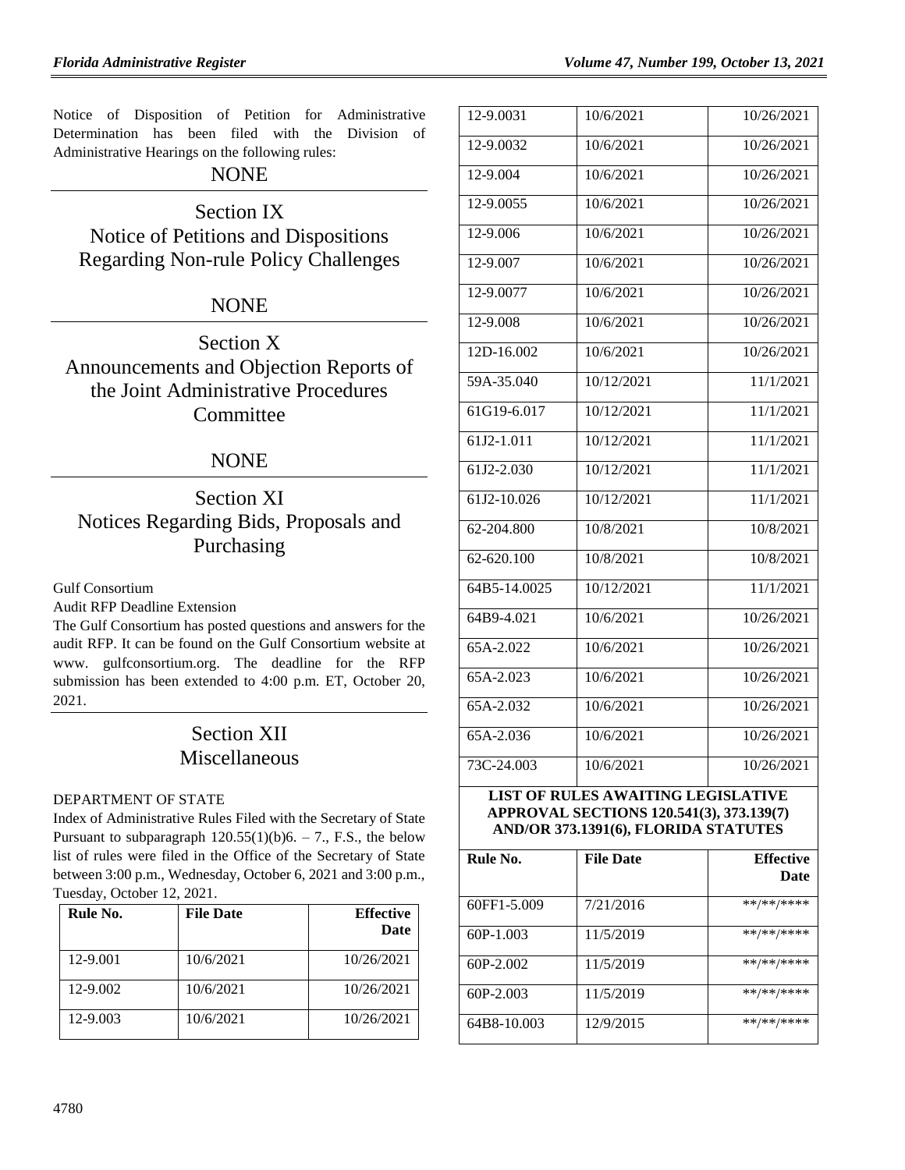Notice of Disposition of Petition for Administrative Determination has been filed with the Division of Administrative Hearings on the following rules:

## NONE

Section IX Notice of Petitions and Dispositions Regarding Non-rule Policy Challenges

## NONE

Section X Announcements and Objection Reports of the Joint Administrative Procedures **Committee** 

## NONE

# Section XI Notices Regarding Bids, Proposals and Purchasing

[Gulf Consortium](https://www.flrules.org/gateway/organization.asp?id=1089)

Audit RFP Deadline Extension

The Gulf Consortium has posted questions and answers for the audit RFP. It can be found on the Gulf Consortium website at www. gulfconsortium.org. The deadline for the RFP submission has been extended to 4:00 p.m. ET, October 20, 2021.

## Section XII Miscellaneous

#### [DEPARTMENT OF STATE](https://www.flrules.org/gateway/department.asp?id=1)

Index of Administrative Rules Filed with the Secretary of State Pursuant to subparagraph  $120.55(1)(b)6. - 7$ ., F.S., the below list of rules were filed in the Office of the Secretary of State between 3:00 p.m., Wednesday, October 6, 2021 and 3:00 p.m., Tuesday, October 12, 2021.

| Rule No. | <b>File Date</b> | <b>Effective</b><br><b>Date</b> |
|----------|------------------|---------------------------------|
| 12-9.001 | 10/6/2021        | 10/26/2021                      |
| 12-9.002 | 10/6/2021        | 10/26/2021                      |
| 12-9.003 | 10/6/2021        | 10/26/2021                      |

| 12-9.0031    | 10/6/2021  | 10/26/2021 |
|--------------|------------|------------|
| 12-9.0032    | 10/6/2021  | 10/26/2021 |
| 12-9.004     | 10/6/2021  | 10/26/2021 |
| 12-9.0055    | 10/6/2021  | 10/26/2021 |
| 12-9.006     | 10/6/2021  | 10/26/2021 |
| 12-9.007     | 10/6/2021  | 10/26/2021 |
| 12-9.0077    | 10/6/2021  | 10/26/2021 |
| 12-9.008     | 10/6/2021  | 10/26/2021 |
| 12D-16.002   | 10/6/2021  | 10/26/2021 |
| 59A-35.040   | 10/12/2021 | 11/1/2021  |
| 61G19-6.017  | 10/12/2021 | 11/1/2021  |
| 61J2-1.011   | 10/12/2021 | 11/1/2021  |
| 61J2-2.030   | 10/12/2021 | 11/1/2021  |
| 61J2-10.026  | 10/12/2021 | 11/1/2021  |
| 62-204.800   | 10/8/2021  | 10/8/2021  |
| 62-620.100   | 10/8/2021  | 10/8/2021  |
| 64B5-14.0025 | 10/12/2021 | 11/1/2021  |
| 64B9-4.021   | 10/6/2021  | 10/26/2021 |
| 65A-2.022    | 10/6/2021  | 10/26/2021 |
| 65A-2.023    | 10/6/2021  | 10/26/2021 |
| 65A-2.032    | 10/6/2021  | 10/26/2021 |
| 65A-2.036    | 10/6/2021  | 10/26/2021 |
| 73C-24.003   | 10/6/2021  | 10/26/2021 |

### **LIST OF RULES AWAITING LEGISLATIVE APPROVAL SECTIONS 120.541(3), 373.139(7) AND/OR 373.1391(6), FLORIDA STATUTES**

| Rule No.    | <b>File Date</b> | <b>Effective</b><br>Date |
|-------------|------------------|--------------------------|
| 60FF1-5.009 | 7/21/2016        | **/**/****               |
| 60P-1.003   | 11/5/2019        | **/**/****               |
| $60P-2.002$ | 11/5/2019        | **/**/****               |
| 60P-2.003   | 11/5/2019        | **/**/****               |
| 64B8-10.003 | 12/9/2015        | **/**/****               |